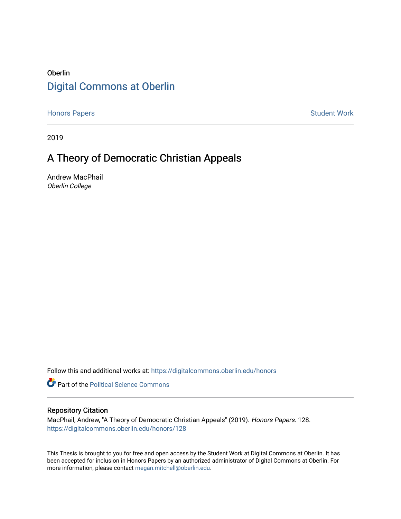# Oberlin [Digital Commons at Oberlin](https://digitalcommons.oberlin.edu/)

[Honors Papers](https://digitalcommons.oberlin.edu/honors) **Student Work** 

2019

# A Theory of Democratic Christian Appeals

Andrew MacPhail Oberlin College

Follow this and additional works at: [https://digitalcommons.oberlin.edu/honors](https://digitalcommons.oberlin.edu/honors?utm_source=digitalcommons.oberlin.edu%2Fhonors%2F128&utm_medium=PDF&utm_campaign=PDFCoverPages) 

**Part of the Political Science Commons** 

## Repository Citation

MacPhail, Andrew, "A Theory of Democratic Christian Appeals" (2019). Honors Papers. 128. [https://digitalcommons.oberlin.edu/honors/128](https://digitalcommons.oberlin.edu/honors/128?utm_source=digitalcommons.oberlin.edu%2Fhonors%2F128&utm_medium=PDF&utm_campaign=PDFCoverPages) 

This Thesis is brought to you for free and open access by the Student Work at Digital Commons at Oberlin. It has been accepted for inclusion in Honors Papers by an authorized administrator of Digital Commons at Oberlin. For more information, please contact [megan.mitchell@oberlin.edu.](mailto:megan.mitchell@oberlin.edu)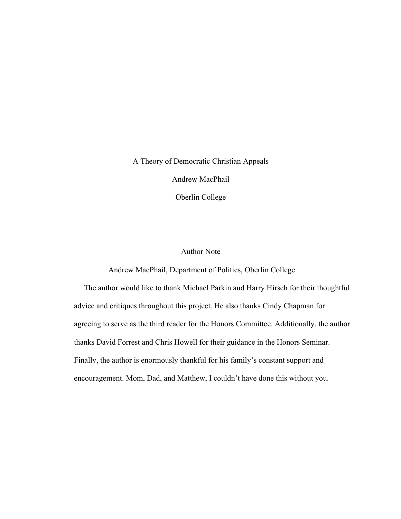A Theory of Democratic Christian Appeals

Andrew MacPhail

Oberlin College

# Author Note

Andrew MacPhail, Department of Politics, Oberlin College

The author would like to thank Michael Parkin and Harry Hirsch for their thoughtful advice and critiques throughout this project. He also thanks Cindy Chapman for agreeing to serve as the third reader for the Honors Committee. Additionally, the author thanks David Forrest and Chris Howell for their guidance in the Honors Seminar. Finally, the author is enormously thankful for his family's constant support and encouragement. Mom, Dad, and Matthew, I couldn't have done this without you.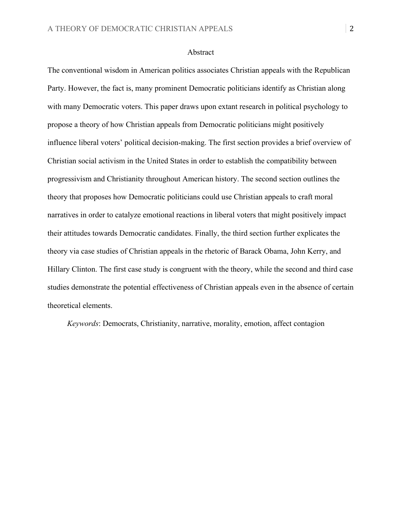#### Abstract

The conventional wisdom in American politics associates Christian appeals with the Republican Party. However, the fact is, many prominent Democratic politicians identify as Christian along with many Democratic voters. This paper draws upon extant research in political psychology to propose a theory of how Christian appeals from Democratic politicians might positively influence liberal voters' political decision-making. The first section provides a brief overview of Christian social activism in the United States in order to establish the compatibility between progressivism and Christianity throughout American history. The second section outlines the theory that proposes how Democratic politicians could use Christian appeals to craft moral narratives in order to catalyze emotional reactions in liberal voters that might positively impact their attitudes towards Democratic candidates. Finally, the third section further explicates the theory via case studies of Christian appeals in the rhetoric of Barack Obama, John Kerry, and Hillary Clinton. The first case study is congruent with the theory, while the second and third case studies demonstrate the potential effectiveness of Christian appeals even in the absence of certain theoretical elements.

*Keywords*: Democrats, Christianity, narrative, morality, emotion, affect contagion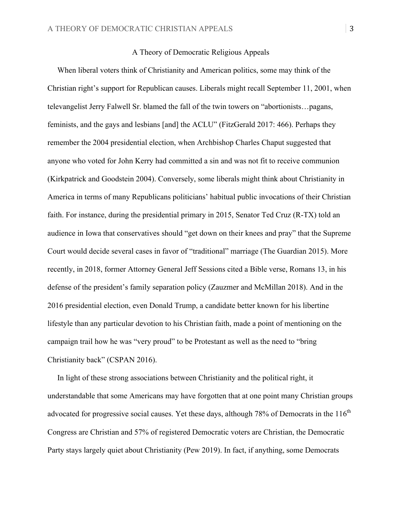### A Theory of Democratic Religious Appeals

 When liberal voters think of Christianity and American politics, some may think of the Christian right's support for Republican causes. Liberals might recall September 11, 2001, when televangelist Jerry Falwell Sr. blamed the fall of the twin towers on "abortionists…pagans, feminists, and the gays and lesbians [and] the ACLU" (FitzGerald 2017: 466). Perhaps they remember the 2004 presidential election, when Archbishop Charles Chaput suggested that anyone who voted for John Kerry had committed a sin and was not fit to receive communion (Kirkpatrick and Goodstein 2004). Conversely, some liberals might think about Christianity in America in terms of many Republicans politicians' habitual public invocations of their Christian faith. For instance, during the presidential primary in 2015, Senator Ted Cruz (R-TX) told an audience in Iowa that conservatives should "get down on their knees and pray" that the Supreme Court would decide several cases in favor of "traditional" marriage (The Guardian 2015). More recently, in 2018, former Attorney General Jeff Sessions cited a Bible verse, Romans 13, in his defense of the president's family separation policy (Zauzmer and McMillan 2018). And in the 2016 presidential election, even Donald Trump, a candidate better known for his libertine lifestyle than any particular devotion to his Christian faith, made a point of mentioning on the campaign trail how he was "very proud" to be Protestant as well as the need to "bring Christianity back" (CSPAN 2016).

 In light of these strong associations between Christianity and the political right, it understandable that some Americans may have forgotten that at one point many Christian groups advocated for progressive social causes. Yet these days, although  $78\%$  of Democrats in the  $116<sup>th</sup>$ Congress are Christian and 57% of registered Democratic voters are Christian, the Democratic Party stays largely quiet about Christianity (Pew 2019). In fact, if anything, some Democrats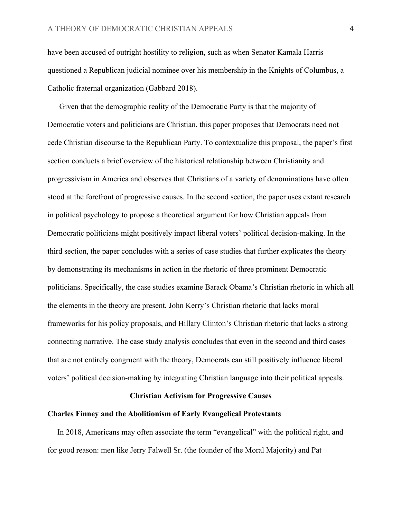have been accused of outright hostility to religion, such as when Senator Kamala Harris questioned a Republican judicial nominee over his membership in the Knights of Columbus, a Catholic fraternal organization (Gabbard 2018).

 Given that the demographic reality of the Democratic Party is that the majority of Democratic voters and politicians are Christian, this paper proposes that Democrats need not cede Christian discourse to the Republican Party. To contextualize this proposal, the paper's first section conducts a brief overview of the historical relationship between Christianity and progressivism in America and observes that Christians of a variety of denominations have often stood at the forefront of progressive causes. In the second section, the paper uses extant research in political psychology to propose a theoretical argument for how Christian appeals from Democratic politicians might positively impact liberal voters' political decision-making. In the third section, the paper concludes with a series of case studies that further explicates the theory by demonstrating its mechanisms in action in the rhetoric of three prominent Democratic politicians. Specifically, the case studies examine Barack Obama's Christian rhetoric in which all the elements in the theory are present, John Kerry's Christian rhetoric that lacks moral frameworks for his policy proposals, and Hillary Clinton's Christian rhetoric that lacks a strong connecting narrative. The case study analysis concludes that even in the second and third cases that are not entirely congruent with the theory, Democrats can still positively influence liberal voters' political decision-making by integrating Christian language into their political appeals.

## **Christian Activism for Progressive Causes**

#### **Charles Finney and the Abolitionism of Early Evangelical Protestants**

 In 2018, Americans may often associate the term "evangelical" with the political right, and for good reason: men like Jerry Falwell Sr. (the founder of the Moral Majority) and Pat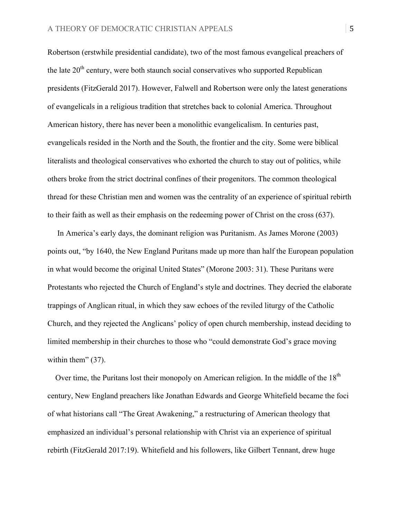Robertson (erstwhile presidential candidate), two of the most famous evangelical preachers of the late  $20<sup>th</sup>$  century, were both staunch social conservatives who supported Republican presidents (FitzGerald 2017). However, Falwell and Robertson were only the latest generations of evangelicals in a religious tradition that stretches back to colonial America. Throughout American history, there has never been a monolithic evangelicalism. In centuries past, evangelicals resided in the North and the South, the frontier and the city. Some were biblical literalists and theological conservatives who exhorted the church to stay out of politics, while others broke from the strict doctrinal confines of their progenitors. The common theological thread for these Christian men and women was the centrality of an experience of spiritual rebirth to their faith as well as their emphasis on the redeeming power of Christ on the cross (637).

 In America's early days, the dominant religion was Puritanism. As James Morone (2003) points out, "by 1640, the New England Puritans made up more than half the European population in what would become the original United States" (Morone 2003: 31). These Puritans were Protestants who rejected the Church of England's style and doctrines. They decried the elaborate trappings of Anglican ritual, in which they saw echoes of the reviled liturgy of the Catholic Church, and they rejected the Anglicans' policy of open church membership, instead deciding to limited membership in their churches to those who "could demonstrate God's grace moving within them" (37).

Over time, the Puritans lost their monopoly on American religion. In the middle of the  $18<sup>th</sup>$ century, New England preachers like Jonathan Edwards and George Whitefield became the foci of what historians call "The Great Awakening," a restructuring of American theology that emphasized an individual's personal relationship with Christ via an experience of spiritual rebirth (FitzGerald 2017:19). Whitefield and his followers, like Gilbert Tennant, drew huge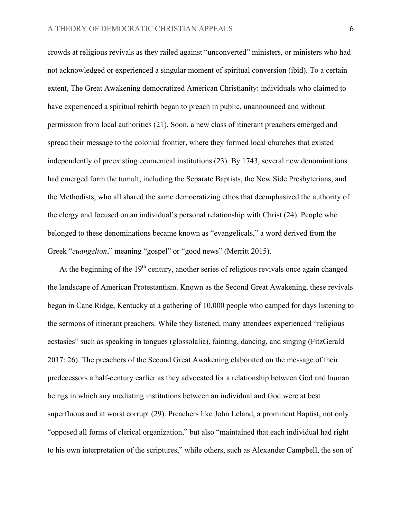crowds at religious revivals as they railed against "unconverted" ministers, or ministers who had not acknowledged or experienced a singular moment of spiritual conversion (ibid). To a certain extent, The Great Awakening democratized American Christianity: individuals who claimed to have experienced a spiritual rebirth began to preach in public, unannounced and without permission from local authorities (21). Soon, a new class of itinerant preachers emerged and spread their message to the colonial frontier, where they formed local churches that existed independently of preexisting ecumenical institutions (23). By 1743, several new denominations had emerged form the tumult, including the Separate Baptists, the New Side Presbyterians, and the Methodists, who all shared the same democratizing ethos that deemphasized the authority of the clergy and focused on an individual's personal relationship with Christ (24). People who belonged to these denominations became known as "evangelicals," a word derived from the Greek "*euangelion*," meaning "gospel" or "good news" (Merritt 2015).

At the beginning of the  $19<sup>th</sup>$  century, another series of religious revivals once again changed the landscape of American Protestantism. Known as the Second Great Awakening, these revivals began in Cane Ridge, Kentucky at a gathering of 10,000 people who camped for days listening to the sermons of itinerant preachers. While they listened, many attendees experienced "religious ecstasies" such as speaking in tongues (glossolalia), fainting, dancing, and singing (FitzGerald 2017: 26). The preachers of the Second Great Awakening elaborated on the message of their predecessors a half-century earlier as they advocated for a relationship between God and human beings in which any mediating institutions between an individual and God were at best superfluous and at worst corrupt (29). Preachers like John Leland, a prominent Baptist, not only "opposed all forms of clerical organization," but also "maintained that each individual had right to his own interpretation of the scriptures," while others, such as Alexander Campbell, the son of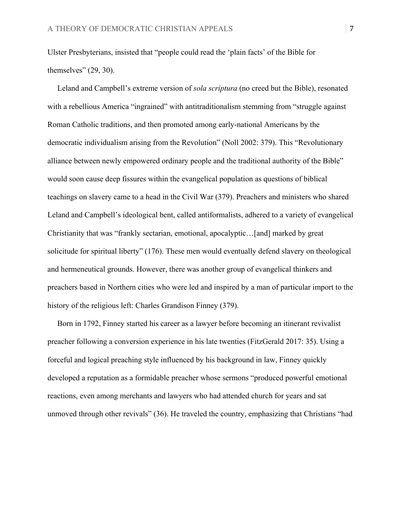Ulster Presbyterians, insisted that "people could read the 'plain facts' of the Bible for themselves" (29, 30).

 Leland and Campbell's extreme version of *sola scriptura* (no creed but the Bible), resonated with a rebellious America "ingrained" with antitraditionalism stemming from "struggle against Roman Catholic traditions, and then promoted among early-national Americans by the democratic individualism arising from the Revolution" (Noll 2002: 379). This "Revolutionary alliance between newly empowered ordinary people and the traditional authority of the Bible" would soon cause deep fissures within the evangelical population as questions of biblical teachings on slavery came to a head in the Civil War (379). Preachers and ministers who shared Leland and Campbell's ideological bent, called antiformalists, adhered to a variety of evangelical Christianity that was "frankly sectarian, emotional, apocalyptic…[and] marked by great solicitude for spiritual liberty" (176). These men would eventually defend slavery on theological and hermeneutical grounds. However, there was another group of evangelical thinkers and preachers based in Northern cities who were led and inspired by a man of particular import to the history of the religious left: Charles Grandison Finney (379).

 Born in 1792, Finney started his career as a lawyer before becoming an itinerant revivalist preacher following a conversion experience in his late twenties (FitzGerald 2017: 35). Using a forceful and logical preaching style influenced by his background in law, Finney quickly developed a reputation as a formidable preacher whose sermons "produced powerful emotional reactions, even among merchants and lawyers who had attended church for years and sat unmoved through other revivals" (36). He traveled the country, emphasizing that Christians "had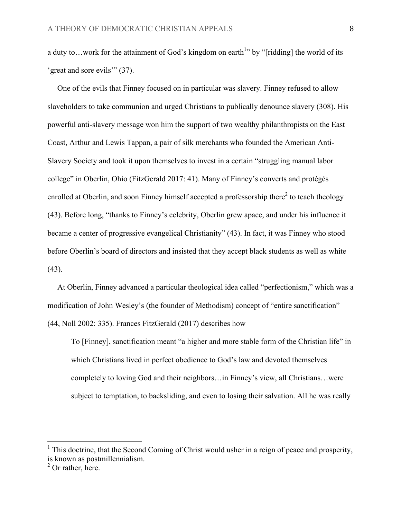a duty to...work for the attainment of God's kingdom on earth<sup>1</sup>" by "[ridding] the world of its 'great and sore evils'" (37).

 One of the evils that Finney focused on in particular was slavery. Finney refused to allow slaveholders to take communion and urged Christians to publically denounce slavery (308). His powerful anti-slavery message won him the support of two wealthy philanthropists on the East Coast, Arthur and Lewis Tappan, a pair of silk merchants who founded the American Anti-Slavery Society and took it upon themselves to invest in a certain "struggling manual labor college" in Oberlin, Ohio (FitzGerald 2017: 41). Many of Finney's converts and protégés enrolled at Oberlin, and soon Finney himself accepted a professorship there<sup>2</sup> to teach theology (43). Before long, "thanks to Finney's celebrity, Oberlin grew apace, and under his influence it became a center of progressive evangelical Christianity" (43). In fact, it was Finney who stood before Oberlin's board of directors and insisted that they accept black students as well as white  $(43)$ .

 At Oberlin, Finney advanced a particular theological idea called "perfectionism," which was a modification of John Wesley's (the founder of Methodism) concept of "entire sanctification" (44, Noll 2002: 335). Frances FitzGerald (2017) describes how

To [Finney], sanctification meant "a higher and more stable form of the Christian life" in which Christians lived in perfect obedience to God's law and devoted themselves completely to loving God and their neighbors…in Finney's view, all Christians…were subject to temptation, to backsliding, and even to losing their salvation. All he was really

 $<sup>1</sup>$  This doctrine, that the Second Coming of Christ would usher in a reign of peace and prosperity,</sup> is known as postmillennialism.

 $^{2}$  Or rather, here.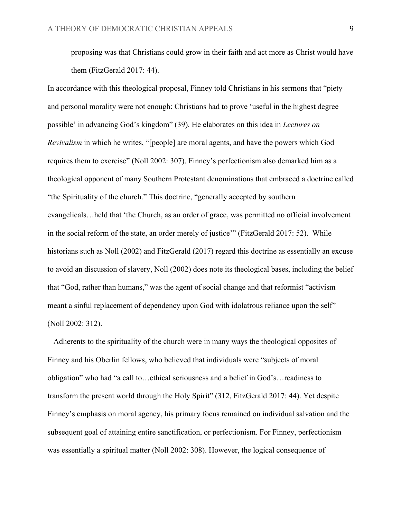proposing was that Christians could grow in their faith and act more as Christ would have them (FitzGerald 2017: 44).

In accordance with this theological proposal, Finney told Christians in his sermons that "piety and personal morality were not enough: Christians had to prove 'useful in the highest degree possible' in advancing God's kingdom" (39). He elaborates on this idea in *Lectures on Revivalism* in which he writes, "[people] are moral agents, and have the powers which God requires them to exercise" (Noll 2002: 307). Finney's perfectionism also demarked him as a theological opponent of many Southern Protestant denominations that embraced a doctrine called "the Spirituality of the church." This doctrine, "generally accepted by southern evangelicals…held that 'the Church, as an order of grace, was permitted no official involvement in the social reform of the state, an order merely of justice'" (FitzGerald 2017: 52). While historians such as Noll (2002) and FitzGerald (2017) regard this doctrine as essentially an excuse to avoid an discussion of slavery, Noll (2002) does note its theological bases, including the belief that "God, rather than humans," was the agent of social change and that reformist "activism meant a sinful replacement of dependency upon God with idolatrous reliance upon the self" (Noll 2002: 312).

Adherents to the spirituality of the church were in many ways the theological opposites of Finney and his Oberlin fellows, who believed that individuals were "subjects of moral obligation" who had "a call to…ethical seriousness and a belief in God's…readiness to transform the present world through the Holy Spirit" (312, FitzGerald 2017: 44). Yet despite Finney's emphasis on moral agency, his primary focus remained on individual salvation and the subsequent goal of attaining entire sanctification, or perfectionism. For Finney, perfectionism was essentially a spiritual matter (Noll 2002: 308). However, the logical consequence of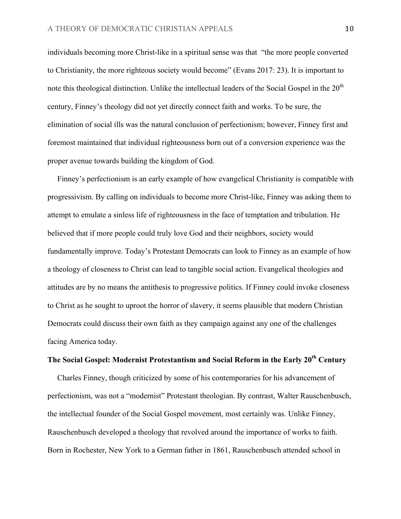individuals becoming more Christ-like in a spiritual sense was that "the more people converted to Christianity, the more righteous society would become" (Evans 2017: 23). It is important to note this theological distinction. Unlike the intellectual leaders of the Social Gospel in the  $20<sup>th</sup>$ century, Finney's theology did not yet directly connect faith and works. To be sure, the elimination of social ills was the natural conclusion of perfectionism; however, Finney first and foremost maintained that individual righteousness born out of a conversion experience was the proper avenue towards building the kingdom of God.

 Finney's perfectionism is an early example of how evangelical Christianity is compatible with progressivism. By calling on individuals to become more Christ-like, Finney was asking them to attempt to emulate a sinless life of righteousness in the face of temptation and tribulation. He believed that if more people could truly love God and their neighbors, society would fundamentally improve. Today's Protestant Democrats can look to Finney as an example of how a theology of closeness to Christ can lead to tangible social action. Evangelical theologies and attitudes are by no means the antithesis to progressive politics. If Finney could invoke closeness to Christ as he sought to uproot the horror of slavery, it seems plausible that modern Christian Democrats could discuss their own faith as they campaign against any one of the challenges facing America today.

# **The Social Gospel: Modernist Protestantism and Social Reform in the Early 20th Century**

 Charles Finney, though criticized by some of his contemporaries for his advancement of perfectionism, was not a "modernist" Protestant theologian. By contrast, Walter Rauschenbusch, the intellectual founder of the Social Gospel movement, most certainly was. Unlike Finney, Rauschenbusch developed a theology that revolved around the importance of works to faith. Born in Rochester, New York to a German father in 1861, Rauschenbusch attended school in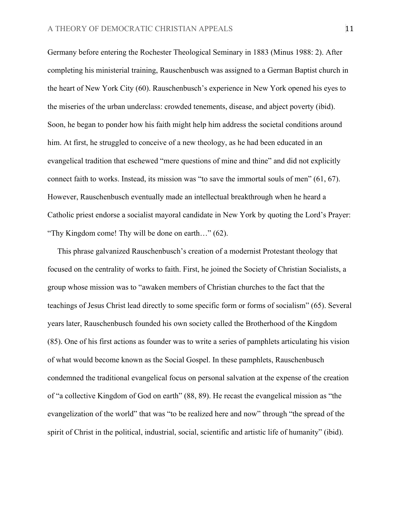Germany before entering the Rochester Theological Seminary in 1883 (Minus 1988: 2). After completing his ministerial training, Rauschenbusch was assigned to a German Baptist church in the heart of New York City (60). Rauschenbusch's experience in New York opened his eyes to the miseries of the urban underclass: crowded tenements, disease, and abject poverty (ibid). Soon, he began to ponder how his faith might help him address the societal conditions around him. At first, he struggled to conceive of a new theology, as he had been educated in an evangelical tradition that eschewed "mere questions of mine and thine" and did not explicitly connect faith to works. Instead, its mission was "to save the immortal souls of men" (61, 67). However, Rauschenbusch eventually made an intellectual breakthrough when he heard a Catholic priest endorse a socialist mayoral candidate in New York by quoting the Lord's Prayer: "Thy Kingdom come! Thy will be done on earth…" (62).

 This phrase galvanized Rauschenbusch's creation of a modernist Protestant theology that focused on the centrality of works to faith. First, he joined the Society of Christian Socialists, a group whose mission was to "awaken members of Christian churches to the fact that the teachings of Jesus Christ lead directly to some specific form or forms of socialism" (65). Several years later, Rauschenbusch founded his own society called the Brotherhood of the Kingdom (85). One of his first actions as founder was to write a series of pamphlets articulating his vision of what would become known as the Social Gospel. In these pamphlets, Rauschenbusch condemned the traditional evangelical focus on personal salvation at the expense of the creation of "a collective Kingdom of God on earth" (88, 89). He recast the evangelical mission as "the evangelization of the world" that was "to be realized here and now" through "the spread of the spirit of Christ in the political, industrial, social, scientific and artistic life of humanity" (ibid).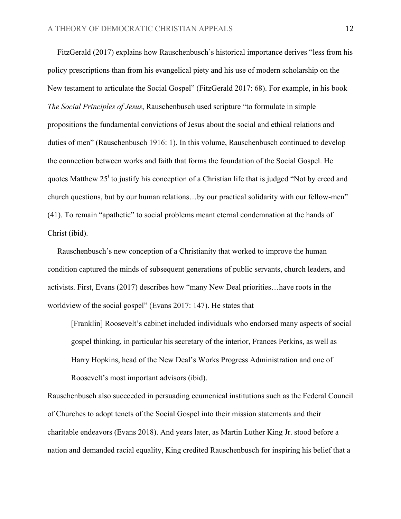FitzGerald (2017) explains how Rauschenbusch's historical importance derives "less from his policy prescriptions than from his evangelical piety and his use of modern scholarship on the New testament to articulate the Social Gospel" (FitzGerald 2017: 68). For example, in his book *The Social Principles of Jesus*, Rauschenbusch used scripture "to formulate in simple propositions the fundamental convictions of Jesus about the social and ethical relations and duties of men" (Rauschenbusch 1916: 1). In this volume, Rauschenbusch continued to develop the connection between works and faith that forms the foundation of the Social Gospel. He quotes Matthew  $25^{\mathrm{i}}$  to justify his conception of a Christian life that is judged "Not by creed and church questions, but by our human relations…by our practical solidarity with our fellow-men" (41). To remain "apathetic" to social problems meant eternal condemnation at the hands of Christ (ibid).

 Rauschenbusch's new conception of a Christianity that worked to improve the human condition captured the minds of subsequent generations of public servants, church leaders, and activists. First, Evans (2017) describes how "many New Deal priorities…have roots in the worldview of the social gospel" (Evans 2017: 147). He states that

[Franklin] Roosevelt's cabinet included individuals who endorsed many aspects of social gospel thinking, in particular his secretary of the interior, Frances Perkins, as well as Harry Hopkins, head of the New Deal's Works Progress Administration and one of Roosevelt's most important advisors (ibid).

Rauschenbusch also succeeded in persuading ecumenical institutions such as the Federal Council of Churches to adopt tenets of the Social Gospel into their mission statements and their charitable endeavors (Evans 2018). And years later, as Martin Luther King Jr. stood before a nation and demanded racial equality, King credited Rauschenbusch for inspiring his belief that a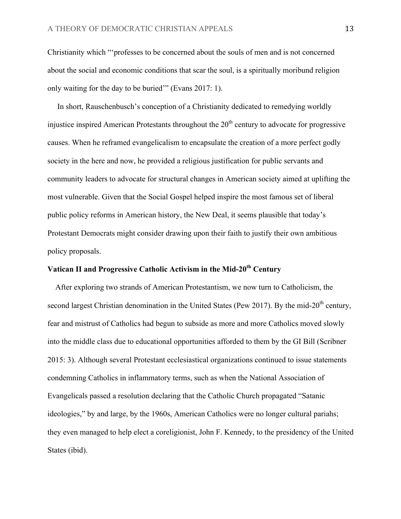Christianity which "'professes to be concerned about the souls of men and is not concerned about the social and economic conditions that scar the soul, is a spiritually moribund religion only waiting for the day to be buried'" (Evans 2017: 1).

 In short, Rauschenbusch's conception of a Christianity dedicated to remedying worldly injustice inspired American Protestants throughout the  $20<sup>th</sup>$  century to advocate for progressive causes. When he reframed evangelicalism to encapsulate the creation of a more perfect godly society in the here and now, he provided a religious justification for public servants and community leaders to advocate for structural changes in American society aimed at uplifting the most vulnerable. Given that the Social Gospel helped inspire the most famous set of liberal public policy reforms in American history, the New Deal, it seems plausible that today's Protestant Democrats might consider drawing upon their faith to justify their own ambitious policy proposals.

# **Vatican II and Progressive Catholic Activism in the Mid-20<sup>th</sup> Century**

 After exploring two strands of American Protestantism, we now turn to Catholicism, the second largest Christian denomination in the United States (Pew 2017). By the mid-20<sup>th</sup> century, fear and mistrust of Catholics had begun to subside as more and more Catholics moved slowly into the middle class due to educational opportunities afforded to them by the GI Bill (Scribner 2015: 3). Although several Protestant ecclesiastical organizations continued to issue statements condemning Catholics in inflammatory terms, such as when the National Association of Evangelicals passed a resolution declaring that the Catholic Church propagated "Satanic ideologies," by and large, by the 1960s, American Catholics were no longer cultural pariahs; they even managed to help elect a coreligionist, John F. Kennedy, to the presidency of the United States (ibid).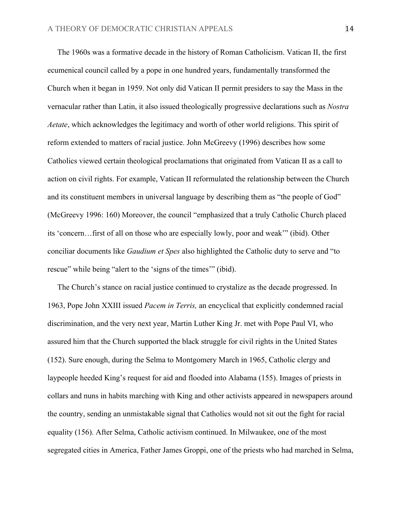The 1960s was a formative decade in the history of Roman Catholicism. Vatican II, the first ecumenical council called by a pope in one hundred years, fundamentally transformed the Church when it began in 1959. Not only did Vatican II permit presiders to say the Mass in the vernacular rather than Latin, it also issued theologically progressive declarations such as *Nostra Aetate*, which acknowledges the legitimacy and worth of other world religions. This spirit of reform extended to matters of racial justice. John McGreevy (1996) describes how some Catholics viewed certain theological proclamations that originated from Vatican II as a call to action on civil rights. For example, Vatican II reformulated the relationship between the Church and its constituent members in universal language by describing them as "the people of God" (McGreevy 1996: 160) Moreover, the council "emphasized that a truly Catholic Church placed its 'concern…first of all on those who are especially lowly, poor and weak'" (ibid). Other conciliar documents like *Gaudium et Spes* also highlighted the Catholic duty to serve and "to rescue" while being "alert to the 'signs of the times'" (ibid).

 The Church's stance on racial justice continued to crystalize as the decade progressed. In 1963, Pope John XXIII issued *Pacem in Terris,* an encyclical that explicitly condemned racial discrimination, and the very next year, Martin Luther King Jr. met with Pope Paul VI, who assured him that the Church supported the black struggle for civil rights in the United States (152). Sure enough, during the Selma to Montgomery March in 1965, Catholic clergy and laypeople heeded King's request for aid and flooded into Alabama (155). Images of priests in collars and nuns in habits marching with King and other activists appeared in newspapers around the country, sending an unmistakable signal that Catholics would not sit out the fight for racial equality (156). After Selma, Catholic activism continued. In Milwaukee, one of the most segregated cities in America, Father James Groppi, one of the priests who had marched in Selma,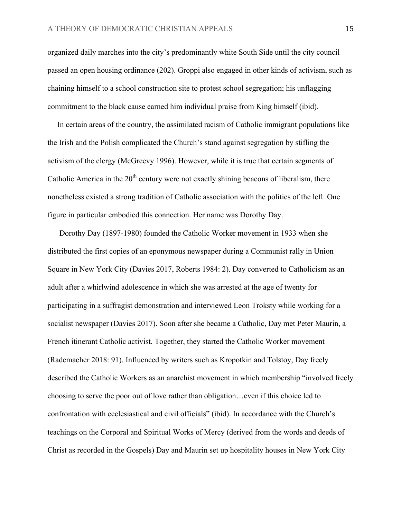organized daily marches into the city's predominantly white South Side until the city council passed an open housing ordinance (202). Groppi also engaged in other kinds of activism, such as chaining himself to a school construction site to protest school segregation; his unflagging commitment to the black cause earned him individual praise from King himself (ibid).

 In certain areas of the country, the assimilated racism of Catholic immigrant populations like the Irish and the Polish complicated the Church's stand against segregation by stifling the activism of the clergy (McGreevy 1996). However, while it is true that certain segments of Catholic America in the  $20<sup>th</sup>$  century were not exactly shining beacons of liberalism, there nonetheless existed a strong tradition of Catholic association with the politics of the left. One figure in particular embodied this connection. Her name was Dorothy Day.

 Dorothy Day (1897-1980) founded the Catholic Worker movement in 1933 when she distributed the first copies of an eponymous newspaper during a Communist rally in Union Square in New York City (Davies 2017, Roberts 1984: 2). Day converted to Catholicism as an adult after a whirlwind adolescence in which she was arrested at the age of twenty for participating in a suffragist demonstration and interviewed Leon Troksty while working for a socialist newspaper (Davies 2017). Soon after she became a Catholic, Day met Peter Maurin, a French itinerant Catholic activist. Together, they started the Catholic Worker movement (Rademacher 2018: 91). Influenced by writers such as Kropotkin and Tolstoy, Day freely described the Catholic Workers as an anarchist movement in which membership "involved freely choosing to serve the poor out of love rather than obligation…even if this choice led to confrontation with ecclesiastical and civil officials" (ibid). In accordance with the Church's teachings on the Corporal and Spiritual Works of Mercy (derived from the words and deeds of Christ as recorded in the Gospels) Day and Maurin set up hospitality houses in New York City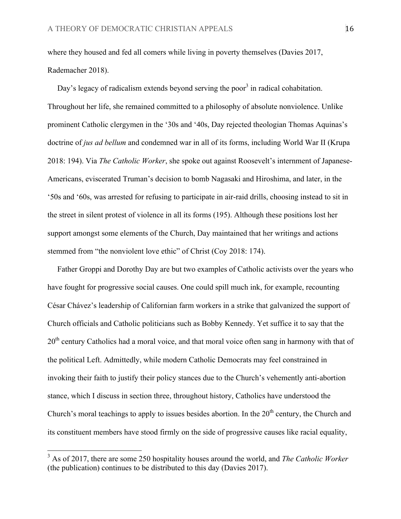where they housed and fed all comers while living in poverty themselves (Davies 2017, Rademacher 2018).

Day's legacy of radicalism extends beyond serving the poor<sup>3</sup> in radical cohabitation. Throughout her life, she remained committed to a philosophy of absolute nonviolence. Unlike prominent Catholic clergymen in the '30s and '40s, Day rejected theologian Thomas Aquinas's doctrine of *jus ad bellum* and condemned war in all of its forms, including World War II (Krupa 2018: 194). Via *The Catholic Worker*, she spoke out against Roosevelt's internment of Japanese-Americans, eviscerated Truman's decision to bomb Nagasaki and Hiroshima, and later, in the '50s and '60s, was arrested for refusing to participate in air-raid drills, choosing instead to sit in the street in silent protest of violence in all its forms (195). Although these positions lost her support amongst some elements of the Church, Day maintained that her writings and actions stemmed from "the nonviolent love ethic" of Christ (Coy 2018: 174).

 Father Groppi and Dorothy Day are but two examples of Catholic activists over the years who have fought for progressive social causes. One could spill much ink, for example, recounting César Chávez's leadership of Californian farm workers in a strike that galvanized the support of Church officials and Catholic politicians such as Bobby Kennedy. Yet suffice it to say that the 20<sup>th</sup> century Catholics had a moral voice, and that moral voice often sang in harmony with that of the political Left. Admittedly, while modern Catholic Democrats may feel constrained in invoking their faith to justify their policy stances due to the Church's vehemently anti-abortion stance, which I discuss in section three, throughout history, Catholics have understood the Church's moral teachings to apply to issues besides abortion. In the  $20<sup>th</sup>$  century, the Church and its constituent members have stood firmly on the side of progressive causes like racial equality,

 <sup>3</sup> As of 2017, there are some 250 hospitality houses around the world, and *The Catholic Worker* (the publication) continues to be distributed to this day (Davies 2017).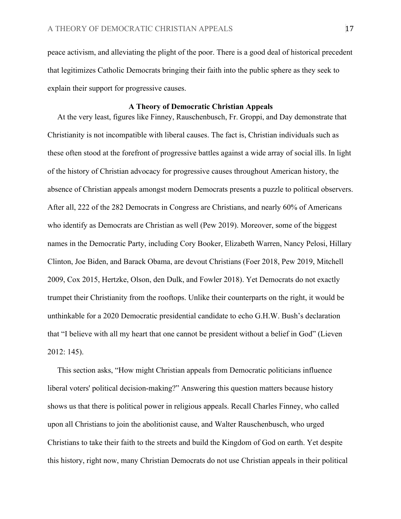peace activism, and alleviating the plight of the poor. There is a good deal of historical precedent that legitimizes Catholic Democrats bringing their faith into the public sphere as they seek to explain their support for progressive causes.

### **A Theory of Democratic Christian Appeals**

At the very least, figures like Finney, Rauschenbusch, Fr. Groppi, and Day demonstrate that Christianity is not incompatible with liberal causes. The fact is, Christian individuals such as these often stood at the forefront of progressive battles against a wide array of social ills. In light of the history of Christian advocacy for progressive causes throughout American history, the absence of Christian appeals amongst modern Democrats presents a puzzle to political observers. After all, 222 of the 282 Democrats in Congress are Christians, and nearly 60% of Americans who identify as Democrats are Christian as well (Pew 2019). Moreover, some of the biggest names in the Democratic Party, including Cory Booker, Elizabeth Warren, Nancy Pelosi, Hillary Clinton, Joe Biden, and Barack Obama, are devout Christians (Foer 2018, Pew 2019, Mitchell 2009, Cox 2015, Hertzke, Olson, den Dulk, and Fowler 2018). Yet Democrats do not exactly trumpet their Christianity from the rooftops. Unlike their counterparts on the right, it would be unthinkable for a 2020 Democratic presidential candidate to echo G.H.W. Bush's declaration that "I believe with all my heart that one cannot be president without a belief in God" (Lieven 2012: 145).

 This section asks, "How might Christian appeals from Democratic politicians influence liberal voters' political decision-making?" Answering this question matters because history shows us that there is political power in religious appeals. Recall Charles Finney, who called upon all Christians to join the abolitionist cause, and Walter Rauschenbusch, who urged Christians to take their faith to the streets and build the Kingdom of God on earth. Yet despite this history, right now, many Christian Democrats do not use Christian appeals in their political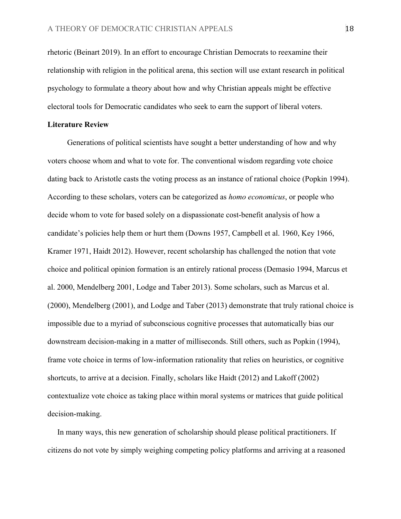rhetoric (Beinart 2019). In an effort to encourage Christian Democrats to reexamine their relationship with religion in the political arena, this section will use extant research in political psychology to formulate a theory about how and why Christian appeals might be effective electoral tools for Democratic candidates who seek to earn the support of liberal voters.

### **Literature Review**

 Generations of political scientists have sought a better understanding of how and why voters choose whom and what to vote for. The conventional wisdom regarding vote choice dating back to Aristotle casts the voting process as an instance of rational choice (Popkin 1994). According to these scholars, voters can be categorized as *homo economicus*, or people who decide whom to vote for based solely on a dispassionate cost-benefit analysis of how a candidate's policies help them or hurt them (Downs 1957, Campbell et al. 1960, Key 1966, Kramer 1971, Haidt 2012). However, recent scholarship has challenged the notion that vote choice and political opinion formation is an entirely rational process (Demasio 1994, Marcus et al. 2000, Mendelberg 2001, Lodge and Taber 2013). Some scholars, such as Marcus et al. (2000), Mendelberg (2001), and Lodge and Taber (2013) demonstrate that truly rational choice is impossible due to a myriad of subconscious cognitive processes that automatically bias our downstream decision-making in a matter of milliseconds. Still others, such as Popkin (1994), frame vote choice in terms of low-information rationality that relies on heuristics, or cognitive shortcuts, to arrive at a decision. Finally, scholars like Haidt (2012) and Lakoff (2002) contextualize vote choice as taking place within moral systems or matrices that guide political decision-making.

 In many ways, this new generation of scholarship should please political practitioners. If citizens do not vote by simply weighing competing policy platforms and arriving at a reasoned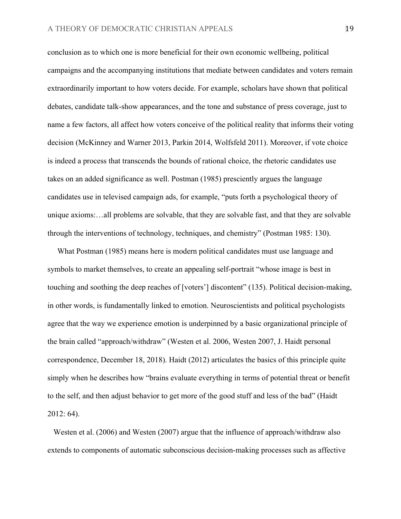conclusion as to which one is more beneficial for their own economic wellbeing, political campaigns and the accompanying institutions that mediate between candidates and voters remain extraordinarily important to how voters decide. For example, scholars have shown that political debates, candidate talk-show appearances, and the tone and substance of press coverage, just to name a few factors, all affect how voters conceive of the political reality that informs their voting decision (McKinney and Warner 2013, Parkin 2014, Wolfsfeld 2011). Moreover, if vote choice is indeed a process that transcends the bounds of rational choice, the rhetoric candidates use takes on an added significance as well. Postman (1985) presciently argues the language candidates use in televised campaign ads, for example, "puts forth a psychological theory of unique axioms:…all problems are solvable, that they are solvable fast, and that they are solvable through the interventions of technology, techniques, and chemistry" (Postman 1985: 130).

 What Postman (1985) means here is modern political candidates must use language and symbols to market themselves, to create an appealing self-portrait "whose image is best in touching and soothing the deep reaches of [voters'] discontent" (135). Political decision-making, in other words, is fundamentally linked to emotion. Neuroscientists and political psychologists agree that the way we experience emotion is underpinned by a basic organizational principle of the brain called "approach/withdraw" (Westen et al. 2006, Westen 2007, J. Haidt personal correspondence, December 18, 2018). Haidt (2012) articulates the basics of this principle quite simply when he describes how "brains evaluate everything in terms of potential threat or benefit to the self, and then adjust behavior to get more of the good stuff and less of the bad" (Haidt 2012: 64).

 Westen et al. (2006) and Westen (2007) argue that the influence of approach/withdraw also extends to components of automatic subconscious decision-making processes such as affective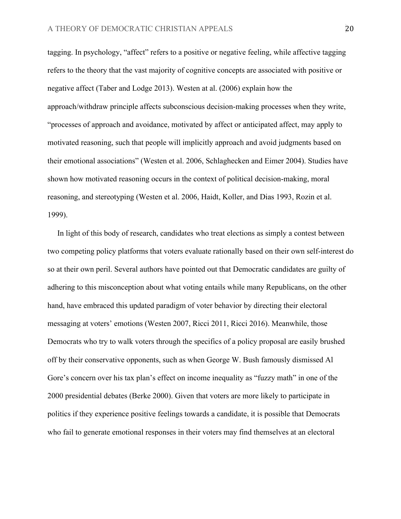tagging. In psychology, "affect" refers to a positive or negative feeling, while affective tagging refers to the theory that the vast majority of cognitive concepts are associated with positive or negative affect (Taber and Lodge 2013). Westen at al. (2006) explain how the approach/withdraw principle affects subconscious decision-making processes when they write, "processes of approach and avoidance, motivated by affect or anticipated affect, may apply to motivated reasoning, such that people will implicitly approach and avoid judgments based on their emotional associations" (Westen et al. 2006, Schlaghecken and Eimer 2004). Studies have shown how motivated reasoning occurs in the context of political decision-making, moral reasoning, and stereotyping (Westen et al. 2006, Haidt, Koller, and Dias 1993, Rozin et al. 1999).

 In light of this body of research, candidates who treat elections as simply a contest between two competing policy platforms that voters evaluate rationally based on their own self-interest do so at their own peril. Several authors have pointed out that Democratic candidates are guilty of adhering to this misconception about what voting entails while many Republicans, on the other hand, have embraced this updated paradigm of voter behavior by directing their electoral messaging at voters' emotions (Westen 2007, Ricci 2011, Ricci 2016). Meanwhile, those Democrats who try to walk voters through the specifics of a policy proposal are easily brushed off by their conservative opponents, such as when George W. Bush famously dismissed Al Gore's concern over his tax plan's effect on income inequality as "fuzzy math" in one of the 2000 presidential debates (Berke 2000). Given that voters are more likely to participate in politics if they experience positive feelings towards a candidate, it is possible that Democrats who fail to generate emotional responses in their voters may find themselves at an electoral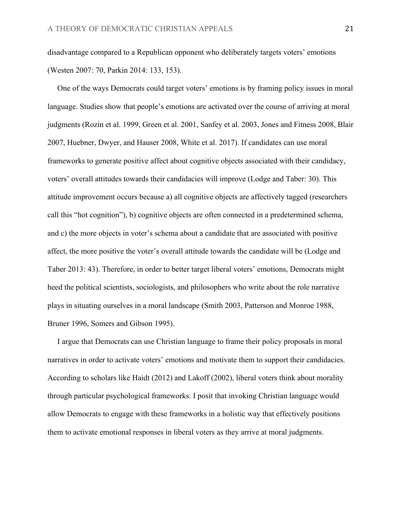disadvantage compared to a Republican opponent who deliberately targets voters' emotions (Westen 2007: 70, Parkin 2014: 133, 153).

 One of the ways Democrats could target voters' emotions is by framing policy issues in moral language. Studies show that people's emotions are activated over the course of arriving at moral judgments (Rozin et al. 1999, Green et al. 2001, Sanfey et al. 2003, Jones and Fitness 2008, Blair 2007, Huebner, Dwyer, and Hauser 2008, White et al. 2017). If candidates can use moral frameworks to generate positive affect about cognitive objects associated with their candidacy, voters' overall attitudes towards their candidacies will improve (Lodge and Taber: 30). This attitude improvement occurs because a) all cognitive objects are affectively tagged (researchers call this "hot cognition"), b) cognitive objects are often connected in a predetermined schema, and c) the more objects in voter's schema about a candidate that are associated with positive affect, the more positive the voter's overall attitude towards the candidate will be (Lodge and Taber 2013: 43). Therefore, in order to better target liberal voters' emotions, Democrats might heed the political scientists, sociologists, and philosophers who write about the role narrative plays in situating ourselves in a moral landscape (Smith 2003, Patterson and Monroe 1988, Bruner 1996, Somers and Gibson 1995).

 I argue that Democrats can use Christian language to frame their policy proposals in moral narratives in order to activate voters' emotions and motivate them to support their candidacies. According to scholars like Haidt (2012) and Lakoff (2002), liberal voters think about morality through particular psychological frameworks. I posit that invoking Christian language would allow Democrats to engage with these frameworks in a holistic way that effectively positions them to activate emotional responses in liberal voters as they arrive at moral judgments.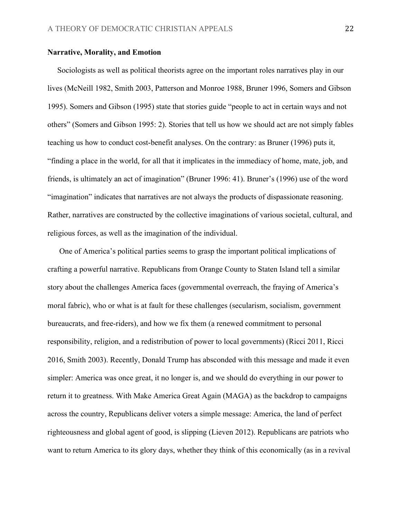#### **Narrative, Morality, and Emotion**

 Sociologists as well as political theorists agree on the important roles narratives play in our lives (McNeill 1982, Smith 2003, Patterson and Monroe 1988, Bruner 1996, Somers and Gibson 1995). Somers and Gibson (1995) state that stories guide "people to act in certain ways and not others" (Somers and Gibson 1995: 2). Stories that tell us how we should act are not simply fables teaching us how to conduct cost-benefit analyses. On the contrary: as Bruner (1996) puts it, "finding a place in the world, for all that it implicates in the immediacy of home, mate, job, and friends, is ultimately an act of imagination" (Bruner 1996: 41). Bruner's (1996) use of the word "imagination" indicates that narratives are not always the products of dispassionate reasoning. Rather, narratives are constructed by the collective imaginations of various societal, cultural, and religious forces, as well as the imagination of the individual.

One of America's political parties seems to grasp the important political implications of crafting a powerful narrative. Republicans from Orange County to Staten Island tell a similar story about the challenges America faces (governmental overreach, the fraying of America's moral fabric), who or what is at fault for these challenges (secularism, socialism, government bureaucrats, and free-riders), and how we fix them (a renewed commitment to personal responsibility, religion, and a redistribution of power to local governments) (Ricci 2011, Ricci 2016, Smith 2003). Recently, Donald Trump has absconded with this message and made it even simpler: America was once great, it no longer is, and we should do everything in our power to return it to greatness. With Make America Great Again (MAGA) as the backdrop to campaigns across the country, Republicans deliver voters a simple message: America, the land of perfect righteousness and global agent of good, is slipping (Lieven 2012). Republicans are patriots who want to return America to its glory days, whether they think of this economically (as in a revival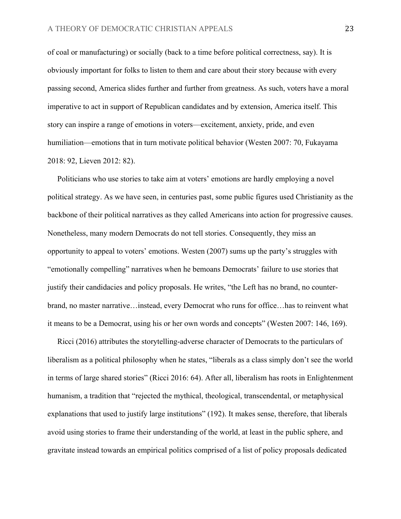of coal or manufacturing) or socially (back to a time before political correctness, say). It is obviously important for folks to listen to them and care about their story because with every passing second, America slides further and further from greatness. As such, voters have a moral imperative to act in support of Republican candidates and by extension, America itself. This story can inspire a range of emotions in voters—excitement, anxiety, pride, and even humiliation—emotions that in turn motivate political behavior (Westen 2007: 70, Fukayama 2018: 92, Lieven 2012: 82).

 Politicians who use stories to take aim at voters' emotions are hardly employing a novel political strategy. As we have seen, in centuries past, some public figures used Christianity as the backbone of their political narratives as they called Americans into action for progressive causes. Nonetheless, many modern Democrats do not tell stories. Consequently, they miss an opportunity to appeal to voters' emotions. Westen (2007) sums up the party's struggles with "emotionally compelling" narratives when he bemoans Democrats' failure to use stories that justify their candidacies and policy proposals. He writes, "the Left has no brand, no counterbrand, no master narrative…instead, every Democrat who runs for office…has to reinvent what it means to be a Democrat, using his or her own words and concepts" (Westen 2007: 146, 169).

 Ricci (2016) attributes the storytelling-adverse character of Democrats to the particulars of liberalism as a political philosophy when he states, "liberals as a class simply don't see the world in terms of large shared stories" (Ricci 2016: 64). After all, liberalism has roots in Enlightenment humanism, a tradition that "rejected the mythical, theological, transcendental, or metaphysical explanations that used to justify large institutions" (192). It makes sense, therefore, that liberals avoid using stories to frame their understanding of the world, at least in the public sphere, and gravitate instead towards an empirical politics comprised of a list of policy proposals dedicated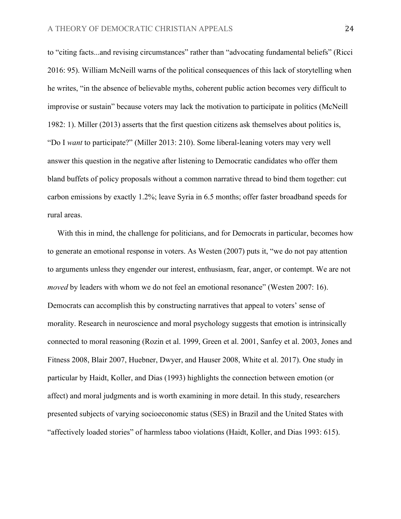to "citing facts...and revising circumstances" rather than "advocating fundamental beliefs" (Ricci 2016: 95). William McNeill warns of the political consequences of this lack of storytelling when he writes, "in the absence of believable myths, coherent public action becomes very difficult to improvise or sustain" because voters may lack the motivation to participate in politics (McNeill 1982: 1). Miller (2013) asserts that the first question citizens ask themselves about politics is, "Do I *want* to participate?" (Miller 2013: 210). Some liberal-leaning voters may very well answer this question in the negative after listening to Democratic candidates who offer them bland buffets of policy proposals without a common narrative thread to bind them together: cut carbon emissions by exactly 1.2%; leave Syria in 6.5 months; offer faster broadband speeds for rural areas.

 With this in mind, the challenge for politicians, and for Democrats in particular, becomes how to generate an emotional response in voters. As Westen (2007) puts it, "we do not pay attention to arguments unless they engender our interest, enthusiasm, fear, anger, or contempt. We are not *moved* by leaders with whom we do not feel an emotional resonance" (Westen 2007: 16). Democrats can accomplish this by constructing narratives that appeal to voters' sense of morality. Research in neuroscience and moral psychology suggests that emotion is intrinsically connected to moral reasoning (Rozin et al. 1999, Green et al. 2001, Sanfey et al. 2003, Jones and Fitness 2008, Blair 2007, Huebner, Dwyer, and Hauser 2008, White et al. 2017). One study in particular by Haidt, Koller, and Dias (1993) highlights the connection between emotion (or affect) and moral judgments and is worth examining in more detail. In this study, researchers presented subjects of varying socioeconomic status (SES) in Brazil and the United States with "affectively loaded stories" of harmless taboo violations (Haidt, Koller, and Dias 1993: 615).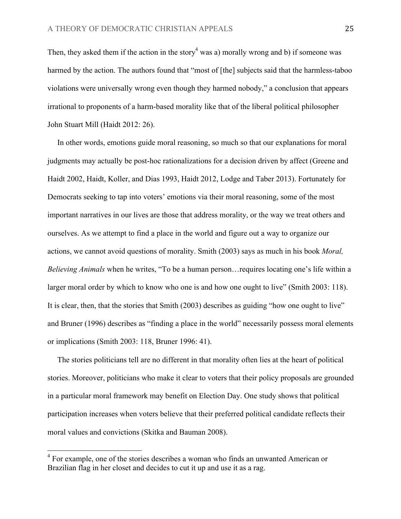Then, they asked them if the action in the story<sup>4</sup> was a) morally wrong and b) if someone was harmed by the action. The authors found that "most of [the] subjects said that the harmless-taboo violations were universally wrong even though they harmed nobody," a conclusion that appears irrational to proponents of a harm-based morality like that of the liberal political philosopher John Stuart Mill (Haidt 2012: 26).

 In other words, emotions guide moral reasoning, so much so that our explanations for moral judgments may actually be post-hoc rationalizations for a decision driven by affect (Greene and Haidt 2002, Haidt, Koller, and Dias 1993, Haidt 2012, Lodge and Taber 2013). Fortunately for Democrats seeking to tap into voters' emotions via their moral reasoning, some of the most important narratives in our lives are those that address morality, or the way we treat others and ourselves. As we attempt to find a place in the world and figure out a way to organize our actions, we cannot avoid questions of morality. Smith (2003) says as much in his book *Moral, Believing Animals* when he writes, "To be a human person…requires locating one's life within a larger moral order by which to know who one is and how one ought to live" (Smith 2003: 118). It is clear, then, that the stories that Smith (2003) describes as guiding "how one ought to live" and Bruner (1996) describes as "finding a place in the world" necessarily possess moral elements or implications (Smith 2003: 118, Bruner 1996: 41).

 The stories politicians tell are no different in that morality often lies at the heart of political stories. Moreover, politicians who make it clear to voters that their policy proposals are grounded in a particular moral framework may benefit on Election Day. One study shows that political participation increases when voters believe that their preferred political candidate reflects their moral values and convictions (Skitka and Bauman 2008).

<sup>&</sup>lt;sup>4</sup> For example, one of the stories describes a woman who finds an unwanted American or Brazilian flag in her closet and decides to cut it up and use it as a rag.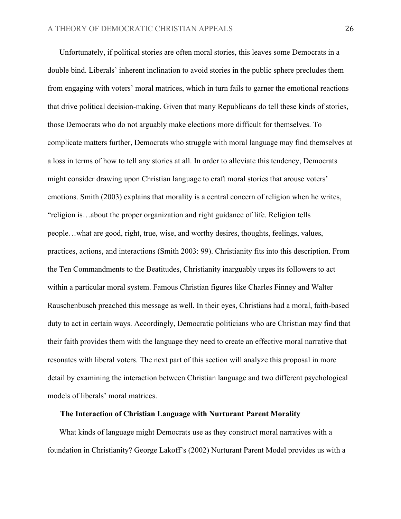Unfortunately, if political stories are often moral stories, this leaves some Democrats in a double bind. Liberals' inherent inclination to avoid stories in the public sphere precludes them from engaging with voters' moral matrices, which in turn fails to garner the emotional reactions that drive political decision-making. Given that many Republicans do tell these kinds of stories, those Democrats who do not arguably make elections more difficult for themselves. To complicate matters further, Democrats who struggle with moral language may find themselves at a loss in terms of how to tell any stories at all. In order to alleviate this tendency, Democrats might consider drawing upon Christian language to craft moral stories that arouse voters' emotions. Smith (2003) explains that morality is a central concern of religion when he writes, "religion is…about the proper organization and right guidance of life. Religion tells people…what are good, right, true, wise, and worthy desires, thoughts, feelings, values, practices, actions, and interactions (Smith 2003: 99). Christianity fits into this description. From the Ten Commandments to the Beatitudes, Christianity inarguably urges its followers to act within a particular moral system. Famous Christian figures like Charles Finney and Walter Rauschenbusch preached this message as well. In their eyes, Christians had a moral, faith-based duty to act in certain ways. Accordingly, Democratic politicians who are Christian may find that their faith provides them with the language they need to create an effective moral narrative that resonates with liberal voters. The next part of this section will analyze this proposal in more detail by examining the interaction between Christian language and two different psychological models of liberals' moral matrices.

#### **The Interaction of Christian Language with Nurturant Parent Morality**

 What kinds of language might Democrats use as they construct moral narratives with a foundation in Christianity? George Lakoff's (2002) Nurturant Parent Model provides us with a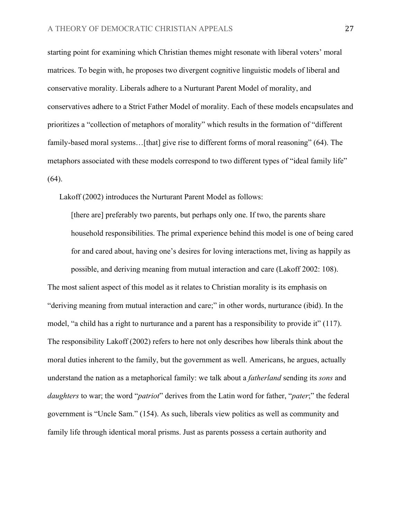starting point for examining which Christian themes might resonate with liberal voters' moral matrices. To begin with, he proposes two divergent cognitive linguistic models of liberal and conservative morality. Liberals adhere to a Nurturant Parent Model of morality, and conservatives adhere to a Strict Father Model of morality. Each of these models encapsulates and prioritizes a "collection of metaphors of morality" which results in the formation of "different family-based moral systems...[that] give rise to different forms of moral reasoning" (64). The metaphors associated with these models correspond to two different types of "ideal family life"  $(64)$ .

Lakoff (2002) introduces the Nurturant Parent Model as follows:

[there are] preferably two parents, but perhaps only one. If two, the parents share household responsibilities. The primal experience behind this model is one of being cared for and cared about, having one's desires for loving interactions met, living as happily as possible, and deriving meaning from mutual interaction and care (Lakoff 2002: 108).

The most salient aspect of this model as it relates to Christian morality is its emphasis on "deriving meaning from mutual interaction and care;" in other words, nurturance (ibid). In the model, "a child has a right to nurturance and a parent has a responsibility to provide it" (117). The responsibility Lakoff (2002) refers to here not only describes how liberals think about the moral duties inherent to the family, but the government as well. Americans, he argues, actually understand the nation as a metaphorical family: we talk about a *fatherland* sending its *sons* and *daughters* to war; the word "*patriot*" derives from the Latin word for father, "*pater*;" the federal government is "Uncle Sam." (154). As such, liberals view politics as well as community and family life through identical moral prisms. Just as parents possess a certain authority and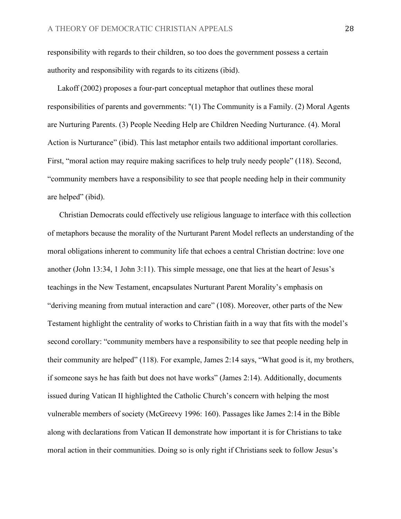responsibility with regards to their children, so too does the government possess a certain authority and responsibility with regards to its citizens (ibid).

 Lakoff (2002) proposes a four-part conceptual metaphor that outlines these moral responsibilities of parents and governments: "(1) The Community is a Family. (2) Moral Agents are Nurturing Parents. (3) People Needing Help are Children Needing Nurturance. (4). Moral Action is Nurturance" (ibid). This last metaphor entails two additional important corollaries. First, "moral action may require making sacrifices to help truly needy people" (118). Second, "community members have a responsibility to see that people needing help in their community are helped" (ibid).

 Christian Democrats could effectively use religious language to interface with this collection of metaphors because the morality of the Nurturant Parent Model reflects an understanding of the moral obligations inherent to community life that echoes a central Christian doctrine: love one another (John 13:34, 1 John 3:11). This simple message, one that lies at the heart of Jesus's teachings in the New Testament, encapsulates Nurturant Parent Morality's emphasis on "deriving meaning from mutual interaction and care" (108). Moreover, other parts of the New Testament highlight the centrality of works to Christian faith in a way that fits with the model's second corollary: "community members have a responsibility to see that people needing help in their community are helped" (118). For example, James 2:14 says, "What good is it, my brothers, if someone says he has faith but does not have works" (James 2:14). Additionally, documents issued during Vatican II highlighted the Catholic Church's concern with helping the most vulnerable members of society (McGreevy 1996: 160). Passages like James 2:14 in the Bible along with declarations from Vatican II demonstrate how important it is for Christians to take moral action in their communities. Doing so is only right if Christians seek to follow Jesus's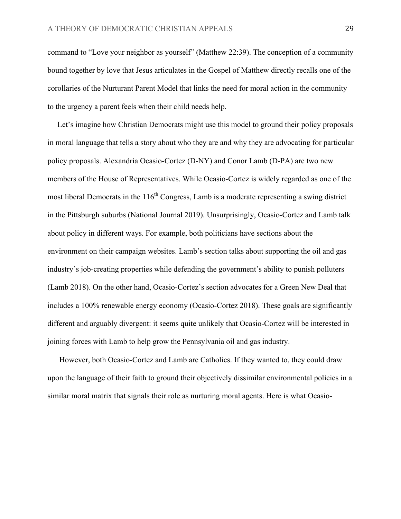command to "Love your neighbor as yourself" (Matthew 22:39). The conception of a community bound together by love that Jesus articulates in the Gospel of Matthew directly recalls one of the corollaries of the Nurturant Parent Model that links the need for moral action in the community to the urgency a parent feels when their child needs help.

 Let's imagine how Christian Democrats might use this model to ground their policy proposals in moral language that tells a story about who they are and why they are advocating for particular policy proposals. Alexandria Ocasio-Cortez (D-NY) and Conor Lamb (D-PA) are two new members of the House of Representatives. While Ocasio-Cortez is widely regarded as one of the most liberal Democrats in the  $116<sup>th</sup>$  Congress, Lamb is a moderate representing a swing district in the Pittsburgh suburbs (National Journal 2019). Unsurprisingly, Ocasio-Cortez and Lamb talk about policy in different ways. For example, both politicians have sections about the environment on their campaign websites. Lamb's section talks about supporting the oil and gas industry's job-creating properties while defending the government's ability to punish polluters (Lamb 2018). On the other hand, Ocasio-Cortez's section advocates for a Green New Deal that includes a 100% renewable energy economy (Ocasio-Cortez 2018). These goals are significantly different and arguably divergent: it seems quite unlikely that Ocasio-Cortez will be interested in joining forces with Lamb to help grow the Pennsylvania oil and gas industry.

 However, both Ocasio-Cortez and Lamb are Catholics. If they wanted to, they could draw upon the language of their faith to ground their objectively dissimilar environmental policies in a similar moral matrix that signals their role as nurturing moral agents. Here is what Ocasio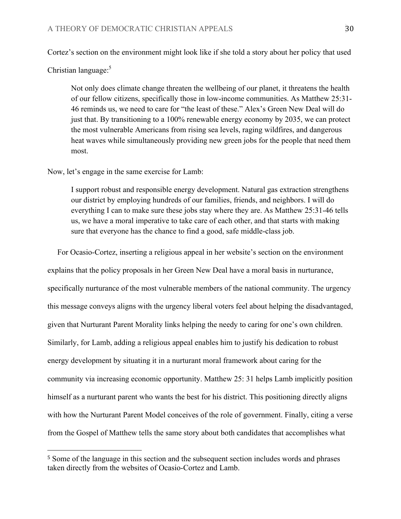Cortez's section on the environment might look like if she told a story about her policy that used

Christian language:<sup>5</sup>

Not only does climate change threaten the wellbeing of our planet, it threatens the health of our fellow citizens, specifically those in low-income communities. As Matthew 25:31- 46 reminds us, we need to care for "the least of these." Alex's Green New Deal will do just that. By transitioning to a 100% renewable energy economy by 2035, we can protect the most vulnerable Americans from rising sea levels, raging wildfires, and dangerous heat waves while simultaneously providing new green jobs for the people that need them most.

Now, let's engage in the same exercise for Lamb:

 

I support robust and responsible energy development. Natural gas extraction strengthens our district by employing hundreds of our families, friends, and neighbors. I will do everything I can to make sure these jobs stay where they are. As Matthew 25:31-46 tells us, we have a moral imperative to take care of each other, and that starts with making sure that everyone has the chance to find a good, safe middle-class job.

 For Ocasio-Cortez, inserting a religious appeal in her website's section on the environment explains that the policy proposals in her Green New Deal have a moral basis in nurturance, specifically nurturance of the most vulnerable members of the national community. The urgency this message conveys aligns with the urgency liberal voters feel about helping the disadvantaged, given that Nurturant Parent Morality links helping the needy to caring for one's own children. Similarly, for Lamb, adding a religious appeal enables him to justify his dedication to robust energy development by situating it in a nurturant moral framework about caring for the community via increasing economic opportunity. Matthew 25: 31 helps Lamb implicitly position himself as a nurturant parent who wants the best for his district. This positioning directly aligns with how the Nurturant Parent Model conceives of the role of government. Finally, citing a verse from the Gospel of Matthew tells the same story about both candidates that accomplishes what

<sup>5</sup> Some of the language in this section and the subsequent section includes words and phrases taken directly from the websites of Ocasio-Cortez and Lamb.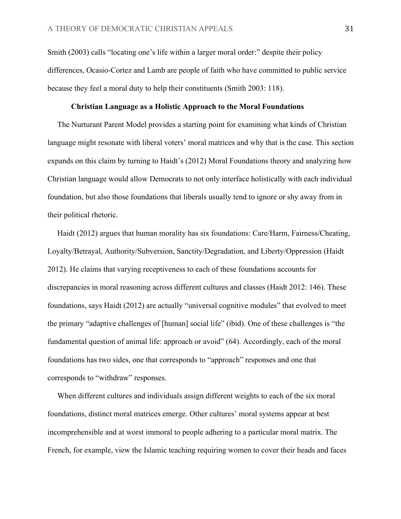Smith (2003) calls "locating one's life within a larger moral order:" despite their policy differences, Ocasio-Cortez and Lamb are people of faith who have committed to public service because they feel a moral duty to help their constituents (Smith 2003: 118).

#### **Christian Language as a Holistic Approach to the Moral Foundations**

 The Nurturant Parent Model provides a starting point for examining what kinds of Christian language might resonate with liberal voters' moral matrices and why that is the case. This section expands on this claim by turning to Haidt's (2012) Moral Foundations theory and analyzing how Christian language would allow Democrats to not only interface holistically with each individual foundation, but also those foundations that liberals usually tend to ignore or shy away from in their political rhetoric.

Haidt (2012) argues that human morality has six foundations: Care/Harm, Fairness/Cheating, Loyalty/Betrayal, Authority/Subversion, Sanctity/Degradation, and Liberty/Oppression (Haidt 2012). He claims that varying receptiveness to each of these foundations accounts for discrepancies in moral reasoning across different cultures and classes (Haidt 2012: 146). These foundations, says Haidt (2012) are actually "universal cognitive modules" that evolved to meet the primary "adaptive challenges of [human] social life" (ibid). One of these challenges is "the fundamental question of animal life: approach or avoid" (64). Accordingly, each of the moral foundations has two sides, one that corresponds to "approach" responses and one that corresponds to "withdraw" responses.

 When different cultures and individuals assign different weights to each of the six moral foundations, distinct moral matrices emerge. Other cultures' moral systems appear at best incomprehensible and at worst immoral to people adhering to a particular moral matrix. The French, for example, view the Islamic teaching requiring women to cover their heads and faces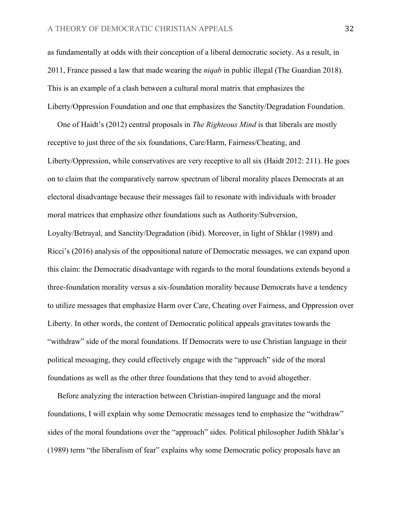as fundamentally at odds with their conception of a liberal democratic society. As a result, in 2011, France passed a law that made wearing the *niqab* in public illegal (The Guardian 2018). This is an example of a clash between a cultural moral matrix that emphasizes the Liberty/Oppression Foundation and one that emphasizes the Sanctity/Degradation Foundation.

 One of Haidt's (2012) central proposals in *The Righteous Mind* is that liberals are mostly receptive to just three of the six foundations, Care/Harm, Fairness/Cheating, and Liberty/Oppression, while conservatives are very receptive to all six (Haidt 2012: 211). He goes on to claim that the comparatively narrow spectrum of liberal morality places Democrats at an electoral disadvantage because their messages fail to resonate with individuals with broader moral matrices that emphasize other foundations such as Authority/Subversion, Loyalty/Betrayal, and Sanctity/Degradation (ibid). Moreover, in light of Shklar (1989) and Ricci's (2016) analysis of the oppositional nature of Democratic messages, we can expand upon this claim: the Democratic disadvantage with regards to the moral foundations extends beyond a three-foundation morality versus a six-foundation morality because Democrats have a tendency to utilize messages that emphasize Harm over Care, Cheating over Fairness, and Oppression over Liberty. In other words, the content of Democratic political appeals gravitates towards the "withdraw" side of the moral foundations. If Democrats were to use Christian language in their political messaging, they could effectively engage with the "approach" side of the moral foundations as well as the other three foundations that they tend to avoid altogether.

 Before analyzing the interaction between Christian-inspired language and the moral foundations, I will explain why some Democratic messages tend to emphasize the "withdraw" sides of the moral foundations over the "approach" sides. Political philosopher Judith Shklar's (1989) term "the liberalism of fear" explains why some Democratic policy proposals have an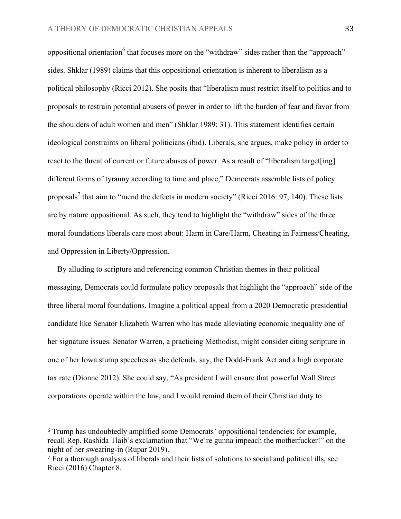oppositional orientation<sup>6</sup> that focuses more on the "withdraw" sides rather than the "approach" sides. Shklar (1989) claims that this oppositional orientation is inherent to liberalism as a political philosophy (Ricci 2012). She posits that "liberalism must restrict itself to politics and to proposals to restrain potential abusers of power in order to lift the burden of fear and favor from the shoulders of adult women and men" (Shklar 1989: 31). This statement identifies certain ideological constraints on liberal politicians (ibid). Liberals, she argues, make policy in order to react to the threat of current or future abuses of power. As a result of "liberalism target[ing] different forms of tyranny according to time and place," Democrats assemble lists of policy proposals<sup>7</sup> that aim to "mend the defects in modern society" (Ricci 2016: 97, 140). These lists are by nature oppositional. As such, they tend to highlight the "withdraw" sides of the three moral foundations liberals care most about: Harm in Care/Harm, Cheating in Fairness/Cheating, and Oppression in Liberty/Oppression.

 By alluding to scripture and referencing common Christian themes in their political messaging, Democrats could formulate policy proposals that highlight the "approach" side of the three liberal moral foundations. Imagine a political appeal from a 2020 Democratic presidential candidate like Senator Elizabeth Warren who has made alleviating economic inequality one of her signature issues. Senator Warren, a practicing Methodist, might consider citing scripture in one of her Iowa stump speeches as she defends, say, the Dodd-Frank Act and a high corporate tax rate (Dionne 2012). She could say, "As president I will ensure that powerful Wall Street corporations operate within the law, and I would remind them of their Christian duty to

 

<sup>6</sup> Trump has undoubtedly amplified some Democrats' oppositional tendencies: for example, recall Rep. Rashida Tlaib's exclamation that "We're gunna impeach the motherfucker!" on the night of her swearing-in (Rupar 2019).

<sup>7</sup> For a thorough analysis of liberals and their lists of solutions to social and political ills, see Ricci (2016) Chapter 8.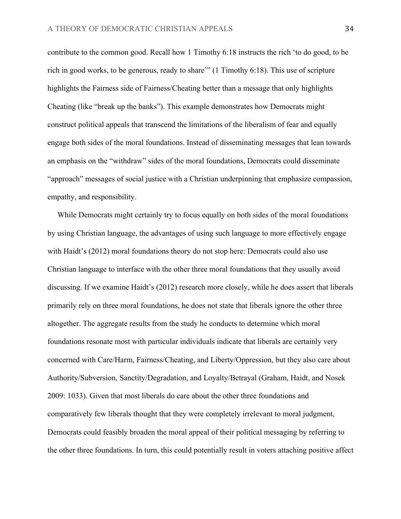contribute to the common good. Recall how 1 Timothy 6:18 instructs the rich 'to do good, to be rich in good works, to be generous, ready to share'" (1 Timothy 6:18). This use of scripture highlights the Fairness side of Fairness/Cheating better than a message that only highlights Cheating (like "break up the banks"). This example demonstrates how Democrats might construct political appeals that transcend the limitations of the liberalism of fear and equally engage both sides of the moral foundations. Instead of disseminating messages that lean towards an emphasis on the "withdraw" sides of the moral foundations, Democrats could disseminate "approach" messages of social justice with a Christian underpinning that emphasize compassion, empathy, and responsibility.

 While Democrats might certainly try to focus equally on both sides of the moral foundations by using Christian language, the advantages of using such language to more effectively engage with Haidt's (2012) moral foundations theory do not stop here: Democrats could also use Christian language to interface with the other three moral foundations that they usually avoid discussing. If we examine Haidt's (2012) research more closely, while he does assert that liberals primarily rely on three moral foundations, he does not state that liberals ignore the other three altogether. The aggregate results from the study he conducts to determine which moral foundations resonate most with particular individuals indicate that liberals are certainly very concerned with Care/Harm, Fairness/Cheating, and Liberty/Oppression, but they also care about Authority/Subversion, Sanctity/Degradation, and Loyalty/Betrayal (Graham, Haidt, and Nosek 2009: 1033). Given that most liberals do care about the other three foundations and comparatively few liberals thought that they were completely irrelevant to moral judgment, Democrats could feasibly broaden the moral appeal of their political messaging by referring to the other three foundations. In turn, this could potentially result in voters attaching positive affect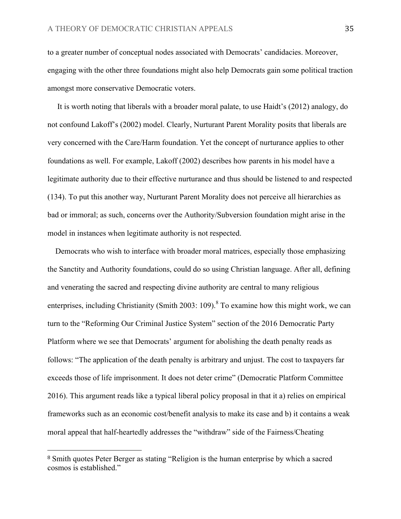to a greater number of conceptual nodes associated with Democrats' candidacies. Moreover, engaging with the other three foundations might also help Democrats gain some political traction amongst more conservative Democratic voters.

 It is worth noting that liberals with a broader moral palate, to use Haidt's (2012) analogy, do not confound Lakoff's (2002) model. Clearly, Nurturant Parent Morality posits that liberals are very concerned with the Care/Harm foundation. Yet the concept of nurturance applies to other foundations as well. For example, Lakoff (2002) describes how parents in his model have a legitimate authority due to their effective nurturance and thus should be listened to and respected (134). To put this another way, Nurturant Parent Morality does not perceive all hierarchies as bad or immoral; as such, concerns over the Authority/Subversion foundation might arise in the model in instances when legitimate authority is not respected.

 Democrats who wish to interface with broader moral matrices, especially those emphasizing the Sanctity and Authority foundations, could do so using Christian language. After all, defining and venerating the sacred and respecting divine authority are central to many religious enterprises, including Christianity (Smith 2003: 109).<sup>8</sup> To examine how this might work, we can turn to the "Reforming Our Criminal Justice System" section of the 2016 Democratic Party Platform where we see that Democrats' argument for abolishing the death penalty reads as follows: "The application of the death penalty is arbitrary and unjust. The cost to taxpayers far exceeds those of life imprisonment. It does not deter crime" (Democratic Platform Committee 2016). This argument reads like a typical liberal policy proposal in that it a) relies on empirical frameworks such as an economic cost/benefit analysis to make its case and b) it contains a weak moral appeal that half-heartedly addresses the "withdraw" side of the Fairness/Cheating

 

<sup>8</sup> Smith quotes Peter Berger as stating "Religion is the human enterprise by which a sacred cosmos is established."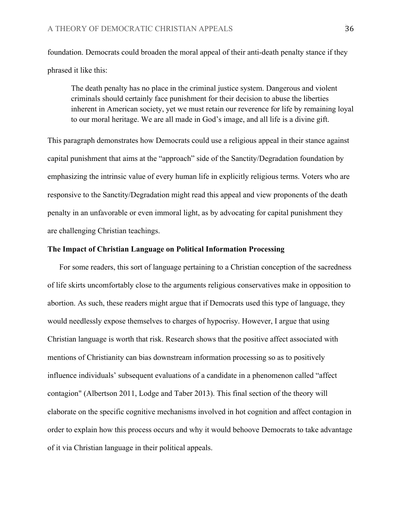foundation. Democrats could broaden the moral appeal of their anti-death penalty stance if they phrased it like this:

The death penalty has no place in the criminal justice system. Dangerous and violent criminals should certainly face punishment for their decision to abuse the liberties inherent in American society, yet we must retain our reverence for life by remaining loyal to our moral heritage. We are all made in God's image, and all life is a divine gift.

This paragraph demonstrates how Democrats could use a religious appeal in their stance against capital punishment that aims at the "approach" side of the Sanctity/Degradation foundation by emphasizing the intrinsic value of every human life in explicitly religious terms. Voters who are responsive to the Sanctity/Degradation might read this appeal and view proponents of the death penalty in an unfavorable or even immoral light, as by advocating for capital punishment they are challenging Christian teachings.

# **The Impact of Christian Language on Political Information Processing**

 For some readers, this sort of language pertaining to a Christian conception of the sacredness of life skirts uncomfortably close to the arguments religious conservatives make in opposition to abortion. As such, these readers might argue that if Democrats used this type of language, they would needlessly expose themselves to charges of hypocrisy. However, I argue that using Christian language is worth that risk. Research shows that the positive affect associated with mentions of Christianity can bias downstream information processing so as to positively influence individuals' subsequent evaluations of a candidate in a phenomenon called "affect contagion" (Albertson 2011, Lodge and Taber 2013). This final section of the theory will elaborate on the specific cognitive mechanisms involved in hot cognition and affect contagion in order to explain how this process occurs and why it would behoove Democrats to take advantage of it via Christian language in their political appeals.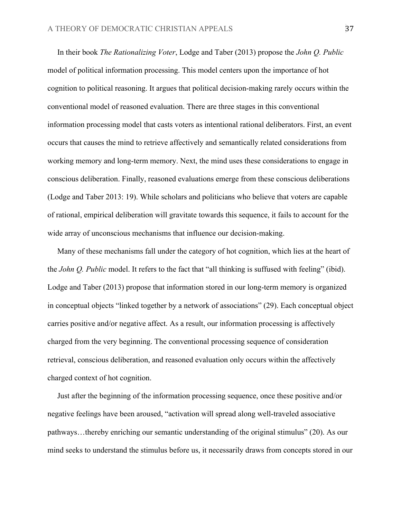In their book *The Rationalizing Voter*, Lodge and Taber (2013) propose the *John Q. Public*  model of political information processing. This model centers upon the importance of hot cognition to political reasoning. It argues that political decision-making rarely occurs within the conventional model of reasoned evaluation. There are three stages in this conventional information processing model that casts voters as intentional rational deliberators. First, an event occurs that causes the mind to retrieve affectively and semantically related considerations from working memory and long-term memory. Next, the mind uses these considerations to engage in conscious deliberation. Finally, reasoned evaluations emerge from these conscious deliberations (Lodge and Taber 2013: 19). While scholars and politicians who believe that voters are capable of rational, empirical deliberation will gravitate towards this sequence, it fails to account for the wide array of unconscious mechanisms that influence our decision-making.

 Many of these mechanisms fall under the category of hot cognition, which lies at the heart of the *John Q. Public* model. It refers to the fact that "all thinking is suffused with feeling" (ibid). Lodge and Taber (2013) propose that information stored in our long-term memory is organized in conceptual objects "linked together by a network of associations" (29). Each conceptual object carries positive and/or negative affect. As a result, our information processing is affectively charged from the very beginning. The conventional processing sequence of consideration retrieval, conscious deliberation, and reasoned evaluation only occurs within the affectively charged context of hot cognition.

 Just after the beginning of the information processing sequence, once these positive and/or negative feelings have been aroused, "activation will spread along well-traveled associative pathways…thereby enriching our semantic understanding of the original stimulus" (20). As our mind seeks to understand the stimulus before us, it necessarily draws from concepts stored in our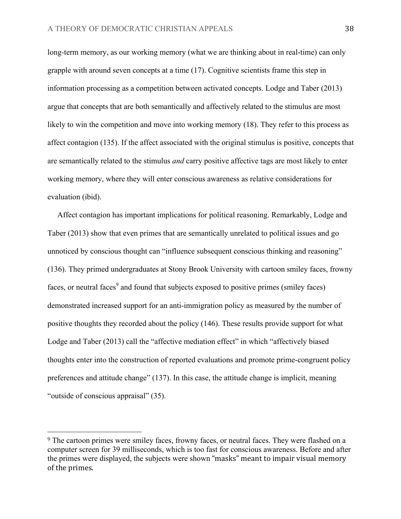long-term memory, as our working memory (what we are thinking about in real-time) can only grapple with around seven concepts at a time (17). Cognitive scientists frame this step in information processing as a competition between activated concepts. Lodge and Taber (2013) argue that concepts that are both semantically and affectively related to the stimulus are most likely to win the competition and move into working memory (18). They refer to this process as affect contagion (135). If the affect associated with the original stimulus is positive, concepts that are semantically related to the stimulus *and* carry positive affective tags are most likely to enter working memory, where they will enter conscious awareness as relative considerations for evaluation (ibid).

 Affect contagion has important implications for political reasoning. Remarkably, Lodge and Taber (2013) show that even primes that are semantically unrelated to political issues and go unnoticed by conscious thought can "influence subsequent conscious thinking and reasoning" (136). They primed undergraduates at Stony Brook University with cartoon smiley faces, frowny faces, or neutral faces<sup>9</sup> and found that subjects exposed to positive primes (smiley faces) demonstrated increased support for an anti-immigration policy as measured by the number of positive thoughts they recorded about the policy (146). These results provide support for what Lodge and Taber (2013) call the "affective mediation effect" in which "affectively biased thoughts enter into the construction of reported evaluations and promote prime-congruent policy preferences and attitude change" (137). In this case, the attitude change is implicit, meaning "outside of conscious appraisal" (35).

<sup>&</sup>lt;sup>9</sup> The cartoon primes were smiley faces, frowny faces, or neutral faces. They were flashed on a computer screen for 39 milliseconds, which is too fast for conscious awareness. Before and after the primes were displayed, the subjects were shown "masks" meant to impair visual memory of the primes.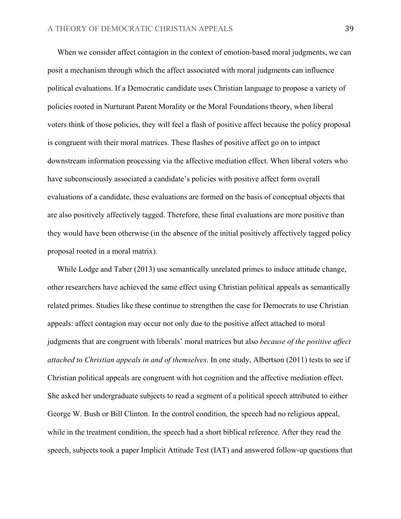When we consider affect contagion in the context of emotion-based moral judgments, we can posit a mechanism through which the affect associated with moral judgments can influence political evaluations. If a Democratic candidate uses Christian language to propose a variety of policies rooted in Nurturant Parent Morality or the Moral Foundations theory, when liberal voters think of those policies, they will feel a flash of positive affect because the policy proposal is congruent with their moral matrices. These flashes of positive affect go on to impact downstream information processing via the affective mediation effect. When liberal voters who have subconsciously associated a candidate's policies with positive affect form overall evaluations of a candidate, these evaluations are formed on the basis of conceptual objects that are also positively affectively tagged. Therefore, these final evaluations are more positive than they would have been otherwise (in the absence of the initial positively affectively tagged policy proposal rooted in a moral matrix).

 While Lodge and Taber (2013) use semantically unrelated primes to induce attitude change, other researchers have achieved the same effect using Christian political appeals as semantically related primes. Studies like these continue to strengthen the case for Democrats to use Christian appeals: affect contagion may occur not only due to the positive affect attached to moral judgments that are congruent with liberals' moral matrices but also *because of the positive affect attached to Christian appeals in and of themselves*. In one study, Albertson (2011) tests to see if Christian political appeals are congruent with hot cognition and the affective mediation effect. She asked her undergraduate subjects to read a segment of a political speech attributed to either George W. Bush or Bill Clinton. In the control condition, the speech had no religious appeal, while in the treatment condition, the speech had a short biblical reference. After they read the speech, subjects took a paper Implicit Attitude Test (IAT) and answered follow-up questions that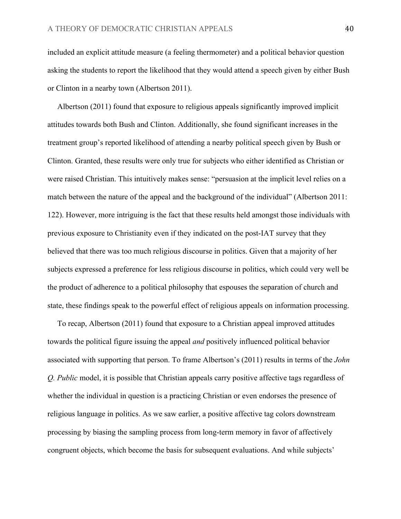included an explicit attitude measure (a feeling thermometer) and a political behavior question asking the students to report the likelihood that they would attend a speech given by either Bush or Clinton in a nearby town (Albertson 2011).

 Albertson (2011) found that exposure to religious appeals significantly improved implicit attitudes towards both Bush and Clinton. Additionally, she found significant increases in the treatment group's reported likelihood of attending a nearby political speech given by Bush or Clinton. Granted, these results were only true for subjects who either identified as Christian or were raised Christian. This intuitively makes sense: "persuasion at the implicit level relies on a match between the nature of the appeal and the background of the individual" (Albertson 2011: 122). However, more intriguing is the fact that these results held amongst those individuals with previous exposure to Christianity even if they indicated on the post-IAT survey that they believed that there was too much religious discourse in politics. Given that a majority of her subjects expressed a preference for less religious discourse in politics, which could very well be the product of adherence to a political philosophy that espouses the separation of church and state, these findings speak to the powerful effect of religious appeals on information processing.

 To recap, Albertson (2011) found that exposure to a Christian appeal improved attitudes towards the political figure issuing the appeal *and* positively influenced political behavior associated with supporting that person. To frame Albertson's (2011) results in terms of the *John Q. Public* model, it is possible that Christian appeals carry positive affective tags regardless of whether the individual in question is a practicing Christian or even endorses the presence of religious language in politics. As we saw earlier, a positive affective tag colors downstream processing by biasing the sampling process from long-term memory in favor of affectively congruent objects, which become the basis for subsequent evaluations. And while subjects'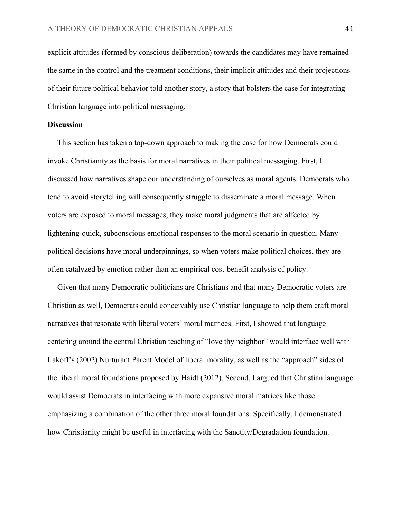explicit attitudes (formed by conscious deliberation) towards the candidates may have remained the same in the control and the treatment conditions, their implicit attitudes and their projections of their future political behavior told another story, a story that bolsters the case for integrating Christian language into political messaging.

# **Discussion**

This section has taken a top-down approach to making the case for how Democrats could invoke Christianity as the basis for moral narratives in their political messaging. First, I discussed how narratives shape our understanding of ourselves as moral agents. Democrats who tend to avoid storytelling will consequently struggle to disseminate a moral message. When voters are exposed to moral messages, they make moral judgments that are affected by lightening-quick, subconscious emotional responses to the moral scenario in question. Many political decisions have moral underpinnings, so when voters make political choices, they are often catalyzed by emotion rather than an empirical cost-benefit analysis of policy.

 Given that many Democratic politicians are Christians and that many Democratic voters are Christian as well, Democrats could conceivably use Christian language to help them craft moral narratives that resonate with liberal voters' moral matrices. First, I showed that language centering around the central Christian teaching of "love thy neighbor" would interface well with Lakoff's (2002) Nurturant Parent Model of liberal morality, as well as the "approach" sides of the liberal moral foundations proposed by Haidt (2012). Second, I argued that Christian language would assist Democrats in interfacing with more expansive moral matrices like those emphasizing a combination of the other three moral foundations. Specifically, I demonstrated how Christianity might be useful in interfacing with the Sanctity/Degradation foundation.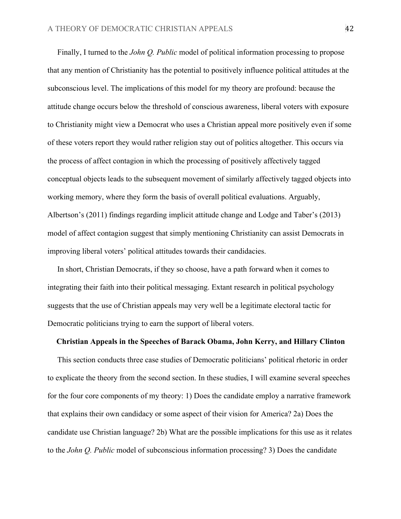Finally, I turned to the *John Q. Public* model of political information processing to propose that any mention of Christianity has the potential to positively influence political attitudes at the subconscious level. The implications of this model for my theory are profound: because the attitude change occurs below the threshold of conscious awareness, liberal voters with exposure to Christianity might view a Democrat who uses a Christian appeal more positively even if some of these voters report they would rather religion stay out of politics altogether. This occurs via the process of affect contagion in which the processing of positively affectively tagged conceptual objects leads to the subsequent movement of similarly affectively tagged objects into working memory, where they form the basis of overall political evaluations. Arguably, Albertson's (2011) findings regarding implicit attitude change and Lodge and Taber's (2013) model of affect contagion suggest that simply mentioning Christianity can assist Democrats in improving liberal voters' political attitudes towards their candidacies.

 In short, Christian Democrats, if they so choose, have a path forward when it comes to integrating their faith into their political messaging. Extant research in political psychology suggests that the use of Christian appeals may very well be a legitimate electoral tactic for Democratic politicians trying to earn the support of liberal voters.

#### **Christian Appeals in the Speeches of Barack Obama, John Kerry, and Hillary Clinton**

 This section conducts three case studies of Democratic politicians' political rhetoric in order to explicate the theory from the second section. In these studies, I will examine several speeches for the four core components of my theory: 1) Does the candidate employ a narrative framework that explains their own candidacy or some aspect of their vision for America? 2a) Does the candidate use Christian language? 2b) What are the possible implications for this use as it relates to the *John Q. Public* model of subconscious information processing? 3) Does the candidate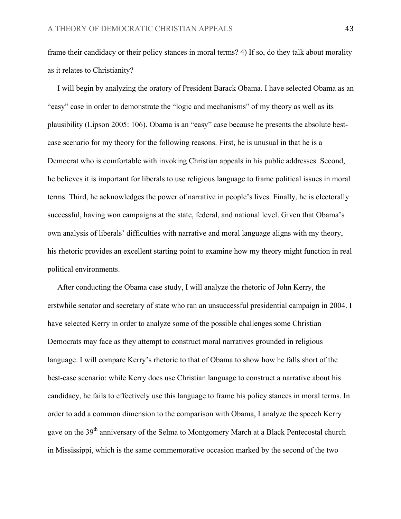frame their candidacy or their policy stances in moral terms? 4) If so, do they talk about morality as it relates to Christianity?

 I will begin by analyzing the oratory of President Barack Obama. I have selected Obama as an "easy" case in order to demonstrate the "logic and mechanisms" of my theory as well as its plausibility (Lipson 2005: 106). Obama is an "easy" case because he presents the absolute bestcase scenario for my theory for the following reasons. First, he is unusual in that he is a Democrat who is comfortable with invoking Christian appeals in his public addresses. Second, he believes it is important for liberals to use religious language to frame political issues in moral terms. Third, he acknowledges the power of narrative in people's lives. Finally, he is electorally successful, having won campaigns at the state, federal, and national level. Given that Obama's own analysis of liberals' difficulties with narrative and moral language aligns with my theory, his rhetoric provides an excellent starting point to examine how my theory might function in real political environments.

 After conducting the Obama case study, I will analyze the rhetoric of John Kerry, the erstwhile senator and secretary of state who ran an unsuccessful presidential campaign in 2004. I have selected Kerry in order to analyze some of the possible challenges some Christian Democrats may face as they attempt to construct moral narratives grounded in religious language. I will compare Kerry's rhetoric to that of Obama to show how he falls short of the best-case scenario: while Kerry does use Christian language to construct a narrative about his candidacy, he fails to effectively use this language to frame his policy stances in moral terms. In order to add a common dimension to the comparison with Obama, I analyze the speech Kerry gave on the 39<sup>th</sup> anniversary of the Selma to Montgomery March at a Black Pentecostal church in Mississippi, which is the same commemorative occasion marked by the second of the two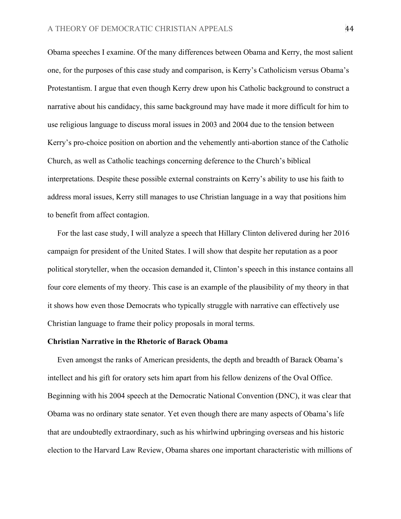Obama speeches I examine. Of the many differences between Obama and Kerry, the most salient one, for the purposes of this case study and comparison, is Kerry's Catholicism versus Obama's Protestantism. I argue that even though Kerry drew upon his Catholic background to construct a narrative about his candidacy, this same background may have made it more difficult for him to use religious language to discuss moral issues in 2003 and 2004 due to the tension between Kerry's pro-choice position on abortion and the vehemently anti-abortion stance of the Catholic Church, as well as Catholic teachings concerning deference to the Church's biblical interpretations. Despite these possible external constraints on Kerry's ability to use his faith to address moral issues, Kerry still manages to use Christian language in a way that positions him to benefit from affect contagion.

 For the last case study, I will analyze a speech that Hillary Clinton delivered during her 2016 campaign for president of the United States. I will show that despite her reputation as a poor political storyteller, when the occasion demanded it, Clinton's speech in this instance contains all four core elements of my theory. This case is an example of the plausibility of my theory in that it shows how even those Democrats who typically struggle with narrative can effectively use Christian language to frame their policy proposals in moral terms.

### **Christian Narrative in the Rhetoric of Barack Obama**

 Even amongst the ranks of American presidents, the depth and breadth of Barack Obama's intellect and his gift for oratory sets him apart from his fellow denizens of the Oval Office. Beginning with his 2004 speech at the Democratic National Convention (DNC), it was clear that Obama was no ordinary state senator. Yet even though there are many aspects of Obama's life that are undoubtedly extraordinary, such as his whirlwind upbringing overseas and his historic election to the Harvard Law Review, Obama shares one important characteristic with millions of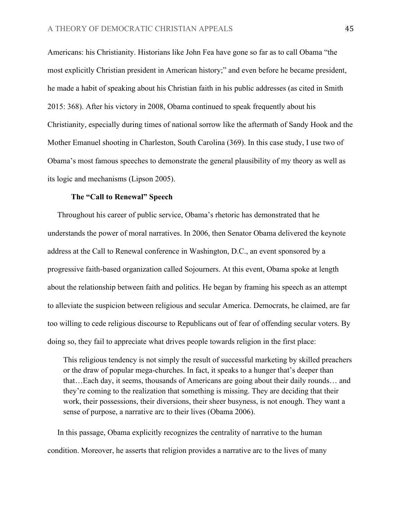Americans: his Christianity. Historians like John Fea have gone so far as to call Obama "the most explicitly Christian president in American history;" and even before he became president, he made a habit of speaking about his Christian faith in his public addresses (as cited in Smith 2015: 368). After his victory in 2008, Obama continued to speak frequently about his Christianity, especially during times of national sorrow like the aftermath of Sandy Hook and the Mother Emanuel shooting in Charleston, South Carolina (369). In this case study, I use two of Obama's most famous speeches to demonstrate the general plausibility of my theory as well as its logic and mechanisms (Lipson 2005).

# **The "Call to Renewal" Speech**

 Throughout his career of public service, Obama's rhetoric has demonstrated that he understands the power of moral narratives. In 2006, then Senator Obama delivered the keynote address at the Call to Renewal conference in Washington, D.C., an event sponsored by a progressive faith-based organization called Sojourners. At this event, Obama spoke at length about the relationship between faith and politics. He began by framing his speech as an attempt to alleviate the suspicion between religious and secular America. Democrats, he claimed, are far too willing to cede religious discourse to Republicans out of fear of offending secular voters. By doing so, they fail to appreciate what drives people towards religion in the first place:

This religious tendency is not simply the result of successful marketing by skilled preachers or the draw of popular mega-churches. In fact, it speaks to a hunger that's deeper than that…Each day, it seems, thousands of Americans are going about their daily rounds… and they're coming to the realization that something is missing. They are deciding that their work, their possessions, their diversions, their sheer busyness, is not enough. They want a sense of purpose, a narrative arc to their lives (Obama 2006).

 In this passage, Obama explicitly recognizes the centrality of narrative to the human condition. Moreover, he asserts that religion provides a narrative arc to the lives of many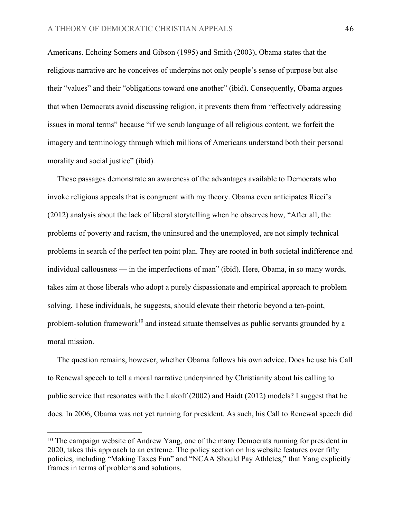Americans. Echoing Somers and Gibson (1995) and Smith (2003), Obama states that the religious narrative arc he conceives of underpins not only people's sense of purpose but also their "values" and their "obligations toward one another" (ibid). Consequently, Obama argues that when Democrats avoid discussing religion, it prevents them from "effectively addressing issues in moral terms" because "if we scrub language of all religious content, we forfeit the imagery and terminology through which millions of Americans understand both their personal morality and social justice" (ibid).

 These passages demonstrate an awareness of the advantages available to Democrats who invoke religious appeals that is congruent with my theory. Obama even anticipates Ricci's (2012) analysis about the lack of liberal storytelling when he observes how, "After all, the problems of poverty and racism, the uninsured and the unemployed, are not simply technical problems in search of the perfect ten point plan. They are rooted in both societal indifference and individual callousness — in the imperfections of man" (ibid). Here, Obama, in so many words, takes aim at those liberals who adopt a purely dispassionate and empirical approach to problem solving. These individuals, he suggests, should elevate their rhetoric beyond a ten-point, problem-solution framework<sup>10</sup> and instead situate themselves as public servants grounded by a moral mission.

 The question remains, however, whether Obama follows his own advice. Does he use his Call to Renewal speech to tell a moral narrative underpinned by Christianity about his calling to public service that resonates with the Lakoff (2002) and Haidt (2012) models? I suggest that he does. In 2006, Obama was not yet running for president. As such, his Call to Renewal speech did

<sup>10</sup> The campaign website of Andrew Yang, one of the many Democrats running for president in 2020, takes this approach to an extreme. The policy section on his website features over fifty policies, including "Making Taxes Fun" and "NCAA Should Pay Athletes," that Yang explicitly frames in terms of problems and solutions.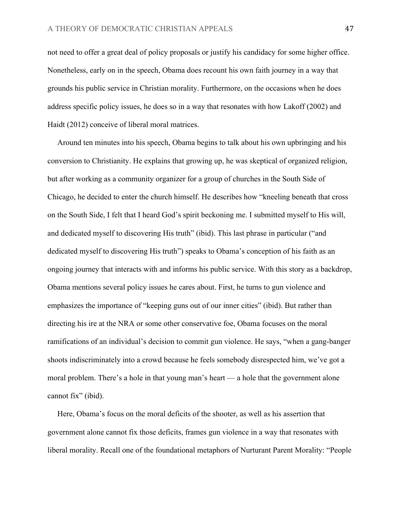not need to offer a great deal of policy proposals or justify his candidacy for some higher office. Nonetheless, early on in the speech, Obama does recount his own faith journey in a way that grounds his public service in Christian morality. Furthermore, on the occasions when he does address specific policy issues, he does so in a way that resonates with how Lakoff (2002) and Haidt (2012) conceive of liberal moral matrices.

 Around ten minutes into his speech, Obama begins to talk about his own upbringing and his conversion to Christianity. He explains that growing up, he was skeptical of organized religion, but after working as a community organizer for a group of churches in the South Side of Chicago, he decided to enter the church himself. He describes how "kneeling beneath that cross on the South Side, I felt that I heard God's spirit beckoning me. I submitted myself to His will, and dedicated myself to discovering His truth" (ibid). This last phrase in particular ("and dedicated myself to discovering His truth") speaks to Obama's conception of his faith as an ongoing journey that interacts with and informs his public service. With this story as a backdrop, Obama mentions several policy issues he cares about. First, he turns to gun violence and emphasizes the importance of "keeping guns out of our inner cities" (ibid). But rather than directing his ire at the NRA or some other conservative foe, Obama focuses on the moral ramifications of an individual's decision to commit gun violence. He says, "when a gang-banger shoots indiscriminately into a crowd because he feels somebody disrespected him, we've got a moral problem. There's a hole in that young man's heart — a hole that the government alone cannot fix" (ibid).

 Here, Obama's focus on the moral deficits of the shooter, as well as his assertion that government alone cannot fix those deficits, frames gun violence in a way that resonates with liberal morality. Recall one of the foundational metaphors of Nurturant Parent Morality: "People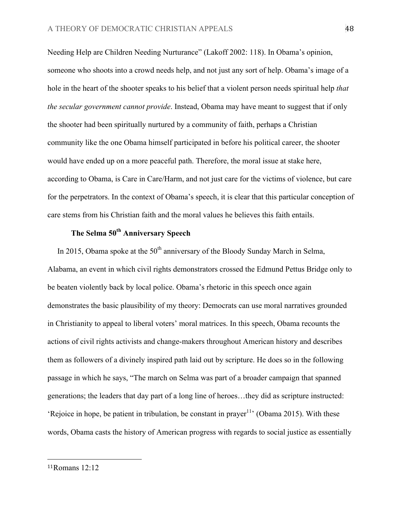Needing Help are Children Needing Nurturance" (Lakoff 2002: 118). In Obama's opinion, someone who shoots into a crowd needs help, and not just any sort of help. Obama's image of a hole in the heart of the shooter speaks to his belief that a violent person needs spiritual help *that the secular government cannot provide*. Instead, Obama may have meant to suggest that if only the shooter had been spiritually nurtured by a community of faith, perhaps a Christian community like the one Obama himself participated in before his political career, the shooter would have ended up on a more peaceful path. Therefore, the moral issue at stake here, according to Obama, is Care in Care/Harm, and not just care for the victims of violence, but care for the perpetrators. In the context of Obama's speech, it is clear that this particular conception of care stems from his Christian faith and the moral values he believes this faith entails.

# **The Selma 50th Anniversary Speech**

In 2015, Obama spoke at the  $50<sup>th</sup>$  anniversary of the Bloody Sunday March in Selma, Alabama, an event in which civil rights demonstrators crossed the Edmund Pettus Bridge only to be beaten violently back by local police. Obama's rhetoric in this speech once again demonstrates the basic plausibility of my theory: Democrats can use moral narratives grounded in Christianity to appeal to liberal voters' moral matrices. In this speech, Obama recounts the actions of civil rights activists and change-makers throughout American history and describes them as followers of a divinely inspired path laid out by scripture. He does so in the following passage in which he says, "The march on Selma was part of a broader campaign that spanned generations; the leaders that day part of a long line of heroes…they did as scripture instructed: 'Rejoice in hope, be patient in tribulation, be constant in prayer<sup>11</sup> (Obama 2015). With these words, Obama casts the history of American progress with regards to social justice as essentially

<sup>11</sup>Romans 12:12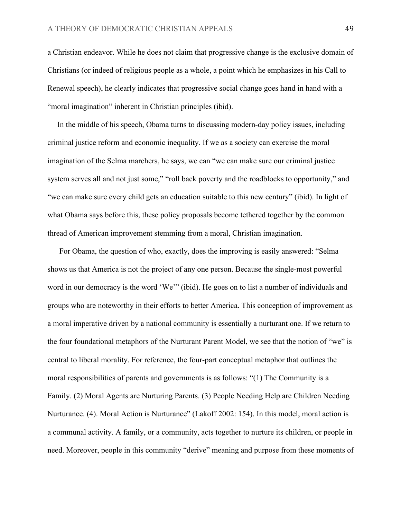a Christian endeavor. While he does not claim that progressive change is the exclusive domain of Christians (or indeed of religious people as a whole, a point which he emphasizes in his Call to Renewal speech), he clearly indicates that progressive social change goes hand in hand with a "moral imagination" inherent in Christian principles (ibid).

 In the middle of his speech, Obama turns to discussing modern-day policy issues, including criminal justice reform and economic inequality. If we as a society can exercise the moral imagination of the Selma marchers, he says, we can "we can make sure our criminal justice system serves all and not just some," "roll back poverty and the roadblocks to opportunity," and "we can make sure every child gets an education suitable to this new century" (ibid). In light of what Obama says before this, these policy proposals become tethered together by the common thread of American improvement stemming from a moral, Christian imagination.

 For Obama, the question of who, exactly, does the improving is easily answered: "Selma shows us that America is not the project of any one person. Because the single-most powerful word in our democracy is the word 'We'" (ibid). He goes on to list a number of individuals and groups who are noteworthy in their efforts to better America. This conception of improvement as a moral imperative driven by a national community is essentially a nurturant one. If we return to the four foundational metaphors of the Nurturant Parent Model, we see that the notion of "we" is central to liberal morality. For reference, the four-part conceptual metaphor that outlines the moral responsibilities of parents and governments is as follows: "(1) The Community is a Family. (2) Moral Agents are Nurturing Parents. (3) People Needing Help are Children Needing Nurturance. (4). Moral Action is Nurturance" (Lakoff 2002: 154). In this model, moral action is a communal activity. A family, or a community, acts together to nurture its children, or people in need. Moreover, people in this community "derive" meaning and purpose from these moments of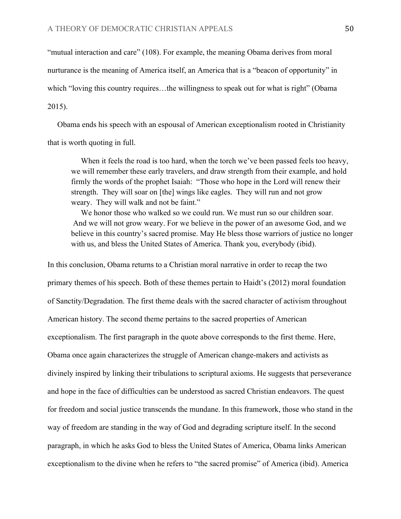"mutual interaction and care" (108). For example, the meaning Obama derives from moral nurturance is the meaning of America itself, an America that is a "beacon of opportunity" in which "loving this country requires...the willingness to speak out for what is right" (Obama 2015).

 Obama ends his speech with an espousal of American exceptionalism rooted in Christianity that is worth quoting in full.

When it feels the road is too hard, when the torch we've been passed feels too heavy, we will remember these early travelers, and draw strength from their example, and hold firmly the words of the prophet Isaiah: "Those who hope in the Lord will renew their strength. They will soar on [the] wings like eagles. They will run and not grow weary. They will walk and not be faint."

We honor those who walked so we could run. We must run so our children soar. And we will not grow weary. For we believe in the power of an awesome God, and we believe in this country's sacred promise. May He bless those warriors of justice no longer with us, and bless the United States of America. Thank you, everybody (ibid).

In this conclusion, Obama returns to a Christian moral narrative in order to recap the two primary themes of his speech. Both of these themes pertain to Haidt's (2012) moral foundation of Sanctity/Degradation. The first theme deals with the sacred character of activism throughout American history. The second theme pertains to the sacred properties of American exceptionalism. The first paragraph in the quote above corresponds to the first theme. Here, Obama once again characterizes the struggle of American change-makers and activists as divinely inspired by linking their tribulations to scriptural axioms. He suggests that perseverance and hope in the face of difficulties can be understood as sacred Christian endeavors. The quest for freedom and social justice transcends the mundane. In this framework, those who stand in the way of freedom are standing in the way of God and degrading scripture itself. In the second paragraph, in which he asks God to bless the United States of America, Obama links American exceptionalism to the divine when he refers to "the sacred promise" of America (ibid). America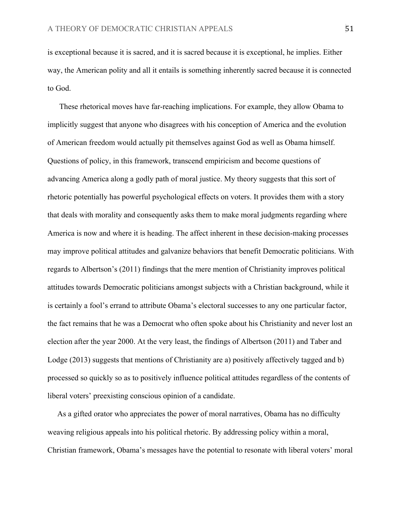is exceptional because it is sacred, and it is sacred because it is exceptional, he implies. Either way, the American polity and all it entails is something inherently sacred because it is connected to God.

 These rhetorical moves have far-reaching implications. For example, they allow Obama to implicitly suggest that anyone who disagrees with his conception of America and the evolution of American freedom would actually pit themselves against God as well as Obama himself. Questions of policy, in this framework, transcend empiricism and become questions of advancing America along a godly path of moral justice. My theory suggests that this sort of rhetoric potentially has powerful psychological effects on voters. It provides them with a story that deals with morality and consequently asks them to make moral judgments regarding where America is now and where it is heading. The affect inherent in these decision-making processes may improve political attitudes and galvanize behaviors that benefit Democratic politicians. With regards to Albertson's (2011) findings that the mere mention of Christianity improves political attitudes towards Democratic politicians amongst subjects with a Christian background, while it is certainly a fool's errand to attribute Obama's electoral successes to any one particular factor, the fact remains that he was a Democrat who often spoke about his Christianity and never lost an election after the year 2000. At the very least, the findings of Albertson (2011) and Taber and Lodge (2013) suggests that mentions of Christianity are a) positively affectively tagged and b) processed so quickly so as to positively influence political attitudes regardless of the contents of liberal voters' preexisting conscious opinion of a candidate.

 As a gifted orator who appreciates the power of moral narratives, Obama has no difficulty weaving religious appeals into his political rhetoric. By addressing policy within a moral, Christian framework, Obama's messages have the potential to resonate with liberal voters' moral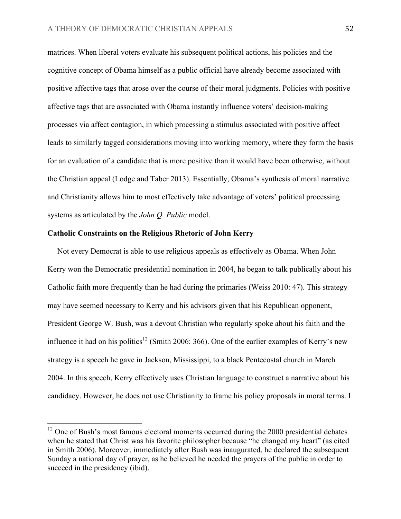matrices. When liberal voters evaluate his subsequent political actions, his policies and the cognitive concept of Obama himself as a public official have already become associated with positive affective tags that arose over the course of their moral judgments. Policies with positive affective tags that are associated with Obama instantly influence voters' decision-making processes via affect contagion, in which processing a stimulus associated with positive affect leads to similarly tagged considerations moving into working memory, where they form the basis for an evaluation of a candidate that is more positive than it would have been otherwise, without the Christian appeal (Lodge and Taber 2013). Essentially, Obama's synthesis of moral narrative and Christianity allows him to most effectively take advantage of voters' political processing systems as articulated by the *John Q. Public* model.

# **Catholic Constraints on the Religious Rhetoric of John Kerry**

 Not every Democrat is able to use religious appeals as effectively as Obama. When John Kerry won the Democratic presidential nomination in 2004, he began to talk publically about his Catholic faith more frequently than he had during the primaries (Weiss 2010: 47). This strategy may have seemed necessary to Kerry and his advisors given that his Republican opponent, President George W. Bush, was a devout Christian who regularly spoke about his faith and the influence it had on his politics<sup>12</sup> (Smith 2006: 366). One of the earlier examples of Kerry's new strategy is a speech he gave in Jackson, Mississippi, to a black Pentecostal church in March 2004. In this speech, Kerry effectively uses Christian language to construct a narrative about his candidacy. However, he does not use Christianity to frame his policy proposals in moral terms. I

<sup>&</sup>lt;sup>12</sup> One of Bush's most famous electoral moments occurred during the 2000 presidential debates when he stated that Christ was his favorite philosopher because "he changed my heart" (as cited in Smith 2006). Moreover, immediately after Bush was inaugurated, he declared the subsequent Sunday a national day of prayer, as he believed he needed the prayers of the public in order to succeed in the presidency (ibid).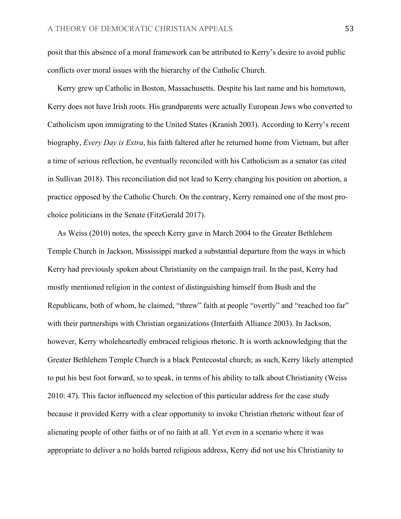posit that this absence of a moral framework can be attributed to Kerry's desire to avoid public conflicts over moral issues with the hierarchy of the Catholic Church.

 Kerry grew up Catholic in Boston, Massachusetts. Despite his last name and his hometown, Kerry does not have Irish roots. His grandparents were actually European Jews who converted to Catholicism upon immigrating to the United States (Kranish 2003). According to Kerry's recent biography, *Every Day is Extra*, his faith faltered after he returned home from Vietnam, but after a time of serious reflection, he eventually reconciled with his Catholicism as a senator (as cited in Sullivan 2018). This reconciliation did not lead to Kerry changing his position on abortion, a practice opposed by the Catholic Church. On the contrary, Kerry remained one of the most prochoice politicians in the Senate (FitzGerald 2017).

 As Weiss (2010) notes, the speech Kerry gave in March 2004 to the Greater Bethlehem Temple Church in Jackson, Mississippi marked a substantial departure from the ways in which Kerry had previously spoken about Christianity on the campaign trail. In the past, Kerry had mostly mentioned religion in the context of distinguishing himself from Bush and the Republicans, both of whom, he claimed, "threw" faith at people "overtly" and "reached too far" with their partnerships with Christian organizations (Interfaith Alliance 2003). In Jackson, however, Kerry wholeheartedly embraced religious rhetoric. It is worth acknowledging that the Greater Bethlehem Temple Church is a black Pentecostal church; as such, Kerry likely attempted to put his best foot forward, so to speak, in terms of his ability to talk about Christianity (Weiss 2010: 47). This factor influenced my selection of this particular address for the case study because it provided Kerry with a clear opportunity to invoke Christian rhetoric without fear of alienating people of other faiths or of no faith at all. Yet even in a scenario where it was appropriate to deliver a no holds barred religious address, Kerry did not use his Christianity to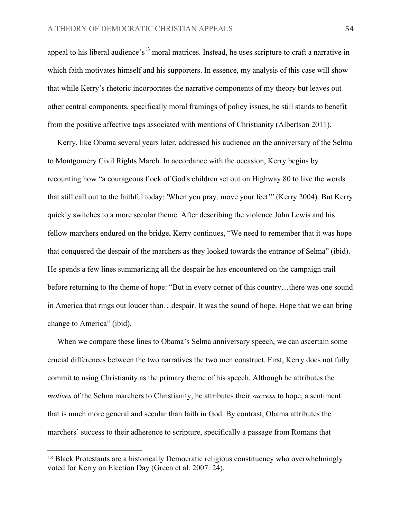appeal to his liberal audience's<sup>13</sup> moral matrices. Instead, he uses scripture to craft a narrative in which faith motivates himself and his supporters. In essence, my analysis of this case will show that while Kerry's rhetoric incorporates the narrative components of my theory but leaves out other central components, specifically moral framings of policy issues, he still stands to benefit from the positive affective tags associated with mentions of Christianity (Albertson 2011).

 Kerry, like Obama several years later, addressed his audience on the anniversary of the Selma to Montgomery Civil Rights March. In accordance with the occasion, Kerry begins by recounting how "a courageous flock of God's children set out on Highway 80 to live the words that still call out to the faithful today: 'When you pray, move your feet'" (Kerry 2004). But Kerry quickly switches to a more secular theme. After describing the violence John Lewis and his fellow marchers endured on the bridge, Kerry continues, "We need to remember that it was hope that conquered the despair of the marchers as they looked towards the entrance of Selma" (ibid). He spends a few lines summarizing all the despair he has encountered on the campaign trail before returning to the theme of hope: "But in every corner of this country…there was one sound in America that rings out louder than…despair. It was the sound of hope. Hope that we can bring change to America" (ibid).

 When we compare these lines to Obama's Selma anniversary speech, we can ascertain some crucial differences between the two narratives the two men construct. First, Kerry does not fully commit to using Christianity as the primary theme of his speech. Although he attributes the *motives* of the Selma marchers to Christianity, he attributes their *success* to hope, a sentiment that is much more general and secular than faith in God. By contrast, Obama attributes the marchers' success to their adherence to scripture, specifically a passage from Romans that

<sup>13</sup> Black Protestants are a historically Democratic religious constituency who overwhelmingly voted for Kerry on Election Day (Green et al. 2007: 24).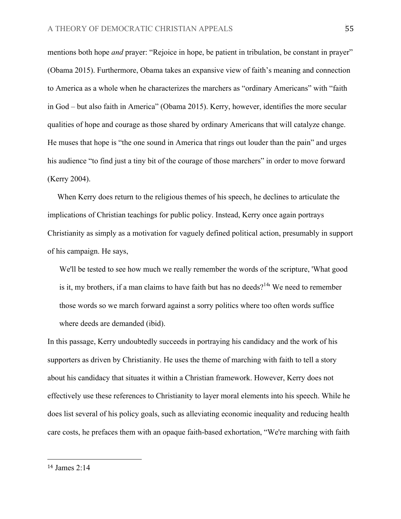mentions both hope *and* prayer: "Rejoice in hope, be patient in tribulation, be constant in prayer" (Obama 2015). Furthermore, Obama takes an expansive view of faith's meaning and connection to America as a whole when he characterizes the marchers as "ordinary Americans" with "faith in God – but also faith in America" (Obama 2015). Kerry, however, identifies the more secular qualities of hope and courage as those shared by ordinary Americans that will catalyze change. He muses that hope is "the one sound in America that rings out louder than the pain" and urges his audience "to find just a tiny bit of the courage of those marchers" in order to move forward (Kerry 2004).

 When Kerry does return to the religious themes of his speech, he declines to articulate the implications of Christian teachings for public policy. Instead, Kerry once again portrays Christianity as simply as a motivation for vaguely defined political action, presumably in support of his campaign. He says,

We'll be tested to see how much we really remember the words of the scripture, 'What good is it, my brothers, if a man claims to have faith but has no deeds?<sup>14</sup> We need to remember those words so we march forward against a sorry politics where too often words suffice where deeds are demanded (ibid).

In this passage, Kerry undoubtedly succeeds in portraying his candidacy and the work of his supporters as driven by Christianity. He uses the theme of marching with faith to tell a story about his candidacy that situates it within a Christian framework. However, Kerry does not effectively use these references to Christianity to layer moral elements into his speech. While he does list several of his policy goals, such as alleviating economic inequality and reducing health care costs, he prefaces them with an opaque faith-based exhortation, "We're marching with faith

<sup>14</sup> James 2:14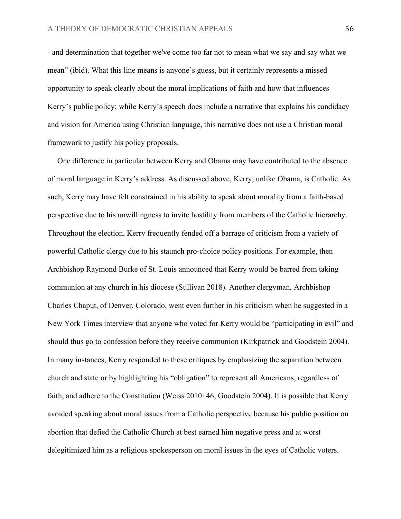- and determination that together we've come too far not to mean what we say and say what we mean" (ibid). What this line means is anyone's guess, but it certainly represents a missed opportunity to speak clearly about the moral implications of faith and how that influences Kerry's public policy; while Kerry's speech does include a narrative that explains his candidacy and vision for America using Christian language, this narrative does not use a Christian moral framework to justify his policy proposals.

 One difference in particular between Kerry and Obama may have contributed to the absence of moral language in Kerry's address. As discussed above, Kerry, unlike Obama, is Catholic. As such, Kerry may have felt constrained in his ability to speak about morality from a faith-based perspective due to his unwillingness to invite hostility from members of the Catholic hierarchy. Throughout the election, Kerry frequently fended off a barrage of criticism from a variety of powerful Catholic clergy due to his staunch pro-choice policy positions. For example, then Archbishop Raymond Burke of St. Louis announced that Kerry would be barred from taking communion at any church in his diocese (Sullivan 2018). Another clergyman, Archbishop Charles Chaput, of Denver, Colorado, went even further in his criticism when he suggested in a New York Times interview that anyone who voted for Kerry would be "participating in evil" and should thus go to confession before they receive communion (Kirkpatrick and Goodstein 2004). In many instances, Kerry responded to these critiques by emphasizing the separation between church and state or by highlighting his "obligation" to represent all Americans, regardless of faith, and adhere to the Constitution (Weiss 2010: 46, Goodstein 2004). It is possible that Kerry avoided speaking about moral issues from a Catholic perspective because his public position on abortion that defied the Catholic Church at best earned him negative press and at worst delegitimized him as a religious spokesperson on moral issues in the eyes of Catholic voters.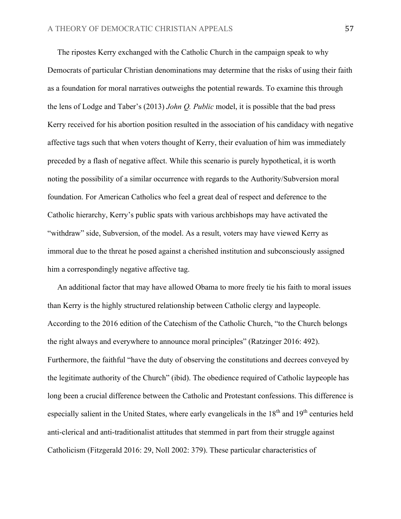The ripostes Kerry exchanged with the Catholic Church in the campaign speak to why Democrats of particular Christian denominations may determine that the risks of using their faith as a foundation for moral narratives outweighs the potential rewards. To examine this through the lens of Lodge and Taber's (2013) *John Q. Public* model, it is possible that the bad press Kerry received for his abortion position resulted in the association of his candidacy with negative affective tags such that when voters thought of Kerry, their evaluation of him was immediately preceded by a flash of negative affect. While this scenario is purely hypothetical, it is worth noting the possibility of a similar occurrence with regards to the Authority/Subversion moral foundation. For American Catholics who feel a great deal of respect and deference to the Catholic hierarchy, Kerry's public spats with various archbishops may have activated the "withdraw" side, Subversion, of the model. As a result, voters may have viewed Kerry as immoral due to the threat he posed against a cherished institution and subconsciously assigned him a correspondingly negative affective tag.

 An additional factor that may have allowed Obama to more freely tie his faith to moral issues than Kerry is the highly structured relationship between Catholic clergy and laypeople. According to the 2016 edition of the Catechism of the Catholic Church, "to the Church belongs the right always and everywhere to announce moral principles" (Ratzinger 2016: 492). Furthermore, the faithful "have the duty of observing the constitutions and decrees conveyed by the legitimate authority of the Church" (ibid). The obedience required of Catholic laypeople has long been a crucial difference between the Catholic and Protestant confessions. This difference is especially salient in the United States, where early evangelicals in the 18<sup>th</sup> and 19<sup>th</sup> centuries held anti-clerical and anti-traditionalist attitudes that stemmed in part from their struggle against Catholicism (Fitzgerald 2016: 29, Noll 2002: 379). These particular characteristics of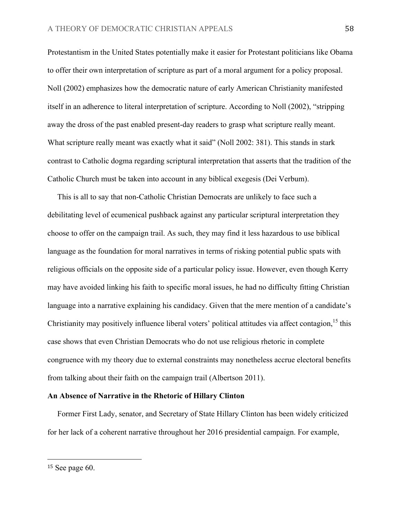Protestantism in the United States potentially make it easier for Protestant politicians like Obama to offer their own interpretation of scripture as part of a moral argument for a policy proposal. Noll (2002) emphasizes how the democratic nature of early American Christianity manifested itself in an adherence to literal interpretation of scripture. According to Noll (2002), "stripping away the dross of the past enabled present-day readers to grasp what scripture really meant. What scripture really meant was exactly what it said" (Noll 2002: 381). This stands in stark contrast to Catholic dogma regarding scriptural interpretation that asserts that the tradition of the Catholic Church must be taken into account in any biblical exegesis (Dei Verbum).

 This is all to say that non-Catholic Christian Democrats are unlikely to face such a debilitating level of ecumenical pushback against any particular scriptural interpretation they choose to offer on the campaign trail. As such, they may find it less hazardous to use biblical language as the foundation for moral narratives in terms of risking potential public spats with religious officials on the opposite side of a particular policy issue. However, even though Kerry may have avoided linking his faith to specific moral issues, he had no difficulty fitting Christian language into a narrative explaining his candidacy. Given that the mere mention of a candidate's Christianity may positively influence liberal voters' political attitudes via affect contagion,<sup>15</sup> this case shows that even Christian Democrats who do not use religious rhetoric in complete congruence with my theory due to external constraints may nonetheless accrue electoral benefits from talking about their faith on the campaign trail (Albertson 2011).

# **An Absence of Narrative in the Rhetoric of Hillary Clinton**

 Former First Lady, senator, and Secretary of State Hillary Clinton has been widely criticized for her lack of a coherent narrative throughout her 2016 presidential campaign. For example,

<sup>15</sup> See page 60.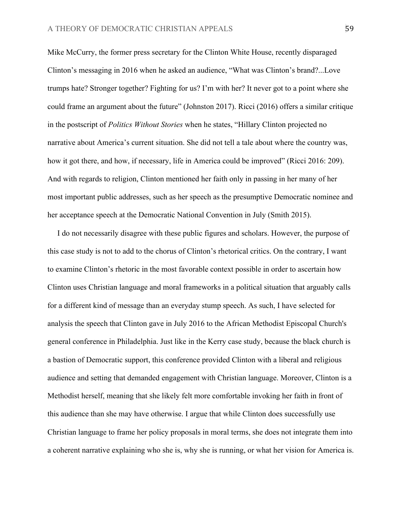Mike McCurry, the former press secretary for the Clinton White House, recently disparaged Clinton's messaging in 2016 when he asked an audience, "What was Clinton's brand?...Love trumps hate? Stronger together? Fighting for us? I'm with her? It never got to a point where she could frame an argument about the future" (Johnston 2017). Ricci (2016) offers a similar critique in the postscript of *Politics Without Stories* when he states, "Hillary Clinton projected no narrative about America's current situation. She did not tell a tale about where the country was, how it got there, and how, if necessary, life in America could be improved" (Ricci 2016: 209). And with regards to religion, Clinton mentioned her faith only in passing in her many of her most important public addresses, such as her speech as the presumptive Democratic nominee and her acceptance speech at the Democratic National Convention in July (Smith 2015).

 I do not necessarily disagree with these public figures and scholars. However, the purpose of this case study is not to add to the chorus of Clinton's rhetorical critics. On the contrary, I want to examine Clinton's rhetoric in the most favorable context possible in order to ascertain how Clinton uses Christian language and moral frameworks in a political situation that arguably calls for a different kind of message than an everyday stump speech. As such, I have selected for analysis the speech that Clinton gave in July 2016 to the African Methodist Episcopal Church's general conference in Philadelphia. Just like in the Kerry case study, because the black church is a bastion of Democratic support, this conference provided Clinton with a liberal and religious audience and setting that demanded engagement with Christian language. Moreover, Clinton is a Methodist herself, meaning that she likely felt more comfortable invoking her faith in front of this audience than she may have otherwise. I argue that while Clinton does successfully use Christian language to frame her policy proposals in moral terms, she does not integrate them into a coherent narrative explaining who she is, why she is running, or what her vision for America is.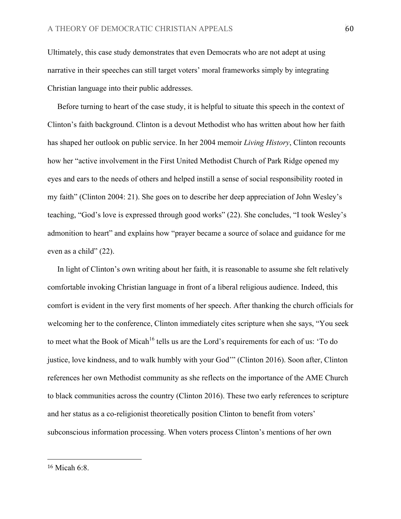Ultimately, this case study demonstrates that even Democrats who are not adept at using narrative in their speeches can still target voters' moral frameworks simply by integrating Christian language into their public addresses.

 Before turning to heart of the case study, it is helpful to situate this speech in the context of Clinton's faith background. Clinton is a devout Methodist who has written about how her faith has shaped her outlook on public service. In her 2004 memoir *Living History*, Clinton recounts how her "active involvement in the First United Methodist Church of Park Ridge opened my eyes and ears to the needs of others and helped instill a sense of social responsibility rooted in my faith" (Clinton 2004: 21). She goes on to describe her deep appreciation of John Wesley's teaching, "God's love is expressed through good works" (22). She concludes, "I took Wesley's admonition to heart" and explains how "prayer became a source of solace and guidance for me even as a child" (22).

 In light of Clinton's own writing about her faith, it is reasonable to assume she felt relatively comfortable invoking Christian language in front of a liberal religious audience. Indeed, this comfort is evident in the very first moments of her speech. After thanking the church officials for welcoming her to the conference, Clinton immediately cites scripture when she says, "You seek to meet what the Book of Micah<sup>16</sup> tells us are the Lord's requirements for each of us: 'To do justice, love kindness, and to walk humbly with your God" (Clinton 2016). Soon after, Clinton references her own Methodist community as she reflects on the importance of the AME Church to black communities across the country (Clinton 2016). These two early references to scripture and her status as a co-religionist theoretically position Clinton to benefit from voters' subconscious information processing. When voters process Clinton's mentions of her own

<sup>16</sup> Micah 6:8.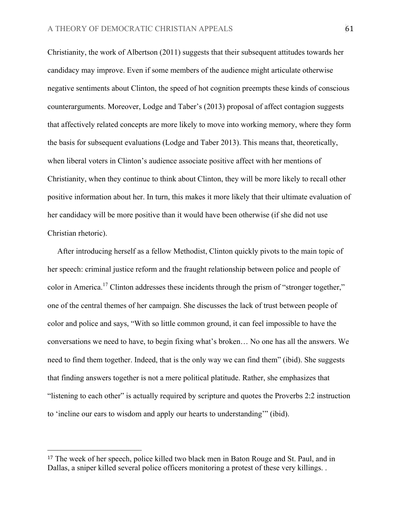Christianity, the work of Albertson (2011) suggests that their subsequent attitudes towards her candidacy may improve. Even if some members of the audience might articulate otherwise negative sentiments about Clinton, the speed of hot cognition preempts these kinds of conscious counterarguments. Moreover, Lodge and Taber's (2013) proposal of affect contagion suggests that affectively related concepts are more likely to move into working memory, where they form the basis for subsequent evaluations (Lodge and Taber 2013). This means that, theoretically, when liberal voters in Clinton's audience associate positive affect with her mentions of Christianity, when they continue to think about Clinton, they will be more likely to recall other positive information about her. In turn, this makes it more likely that their ultimate evaluation of her candidacy will be more positive than it would have been otherwise (if she did not use Christian rhetoric).

 After introducing herself as a fellow Methodist, Clinton quickly pivots to the main topic of her speech: criminal justice reform and the fraught relationship between police and people of color in America.<sup>17</sup> Clinton addresses these incidents through the prism of "stronger together," one of the central themes of her campaign. She discusses the lack of trust between people of color and police and says, "With so little common ground, it can feel impossible to have the conversations we need to have, to begin fixing what's broken… No one has all the answers. We need to find them together. Indeed, that is the only way we can find them" (ibid). She suggests that finding answers together is not a mere political platitude. Rather, she emphasizes that "listening to each other" is actually required by scripture and quotes the Proverbs 2:2 instruction to 'incline our ears to wisdom and apply our hearts to understanding'" (ibid).

<sup>17</sup> The week of her speech, police killed two black men in Baton Rouge and St. Paul, and in Dallas, a sniper killed several police officers monitoring a protest of these very killings. .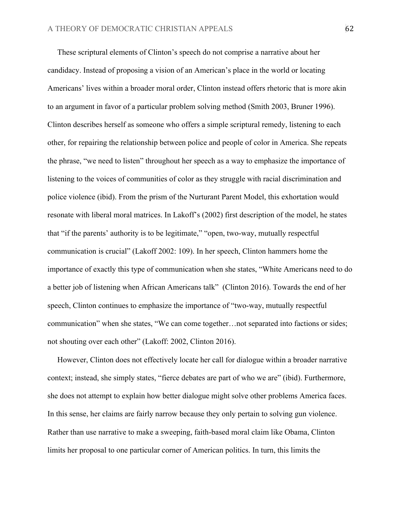These scriptural elements of Clinton's speech do not comprise a narrative about her candidacy. Instead of proposing a vision of an American's place in the world or locating Americans' lives within a broader moral order, Clinton instead offers rhetoric that is more akin to an argument in favor of a particular problem solving method (Smith 2003, Bruner 1996). Clinton describes herself as someone who offers a simple scriptural remedy, listening to each other, for repairing the relationship between police and people of color in America. She repeats the phrase, "we need to listen" throughout her speech as a way to emphasize the importance of listening to the voices of communities of color as they struggle with racial discrimination and police violence (ibid). From the prism of the Nurturant Parent Model, this exhortation would resonate with liberal moral matrices. In Lakoff's (2002) first description of the model, he states that "if the parents' authority is to be legitimate," "open, two-way, mutually respectful communication is crucial" (Lakoff 2002: 109). In her speech, Clinton hammers home the importance of exactly this type of communication when she states, "White Americans need to do a better job of listening when African Americans talk" (Clinton 2016). Towards the end of her speech, Clinton continues to emphasize the importance of "two-way, mutually respectful communication" when she states, "We can come together…not separated into factions or sides; not shouting over each other" (Lakoff: 2002, Clinton 2016).

 However, Clinton does not effectively locate her call for dialogue within a broader narrative context; instead, she simply states, "fierce debates are part of who we are" (ibid). Furthermore, she does not attempt to explain how better dialogue might solve other problems America faces. In this sense, her claims are fairly narrow because they only pertain to solving gun violence. Rather than use narrative to make a sweeping, faith-based moral claim like Obama, Clinton limits her proposal to one particular corner of American politics. In turn, this limits the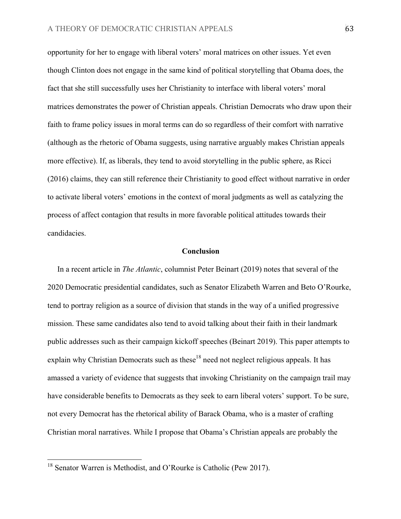opportunity for her to engage with liberal voters' moral matrices on other issues. Yet even though Clinton does not engage in the same kind of political storytelling that Obama does, the fact that she still successfully uses her Christianity to interface with liberal voters' moral matrices demonstrates the power of Christian appeals. Christian Democrats who draw upon their faith to frame policy issues in moral terms can do so regardless of their comfort with narrative (although as the rhetoric of Obama suggests, using narrative arguably makes Christian appeals more effective). If, as liberals, they tend to avoid storytelling in the public sphere, as Ricci (2016) claims, they can still reference their Christianity to good effect without narrative in order to activate liberal voters' emotions in the context of moral judgments as well as catalyzing the process of affect contagion that results in more favorable political attitudes towards their candidacies.

### **Conclusion**

 In a recent article in *The Atlantic*, columnist Peter Beinart (2019) notes that several of the 2020 Democratic presidential candidates, such as Senator Elizabeth Warren and Beto O'Rourke, tend to portray religion as a source of division that stands in the way of a unified progressive mission. These same candidates also tend to avoid talking about their faith in their landmark public addresses such as their campaign kickoff speeches (Beinart 2019). This paper attempts to explain why Christian Democrats such as these<sup>18</sup> need not neglect religious appeals. It has amassed a variety of evidence that suggests that invoking Christianity on the campaign trail may have considerable benefits to Democrats as they seek to earn liberal voters' support. To be sure, not every Democrat has the rhetorical ability of Barack Obama, who is a master of crafting Christian moral narratives. While I propose that Obama's Christian appeals are probably the

<sup>&</sup>lt;sup>18</sup> Senator Warren is Methodist, and O'Rourke is Catholic (Pew 2017).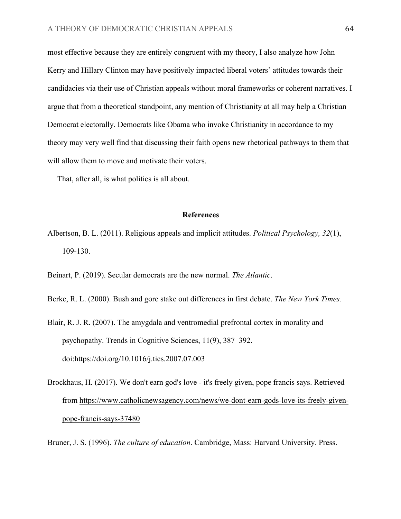most effective because they are entirely congruent with my theory, I also analyze how John Kerry and Hillary Clinton may have positively impacted liberal voters' attitudes towards their candidacies via their use of Christian appeals without moral frameworks or coherent narratives. I argue that from a theoretical standpoint, any mention of Christianity at all may help a Christian Democrat electorally. Democrats like Obama who invoke Christianity in accordance to my theory may very well find that discussing their faith opens new rhetorical pathways to them that will allow them to move and motivate their voters.

That, after all, is what politics is all about.

# **References**

Albertson, B. L. (2011). Religious appeals and implicit attitudes. *Political Psychology, 32*(1), 109-130.

Beinart, P. (2019). Secular democrats are the new normal. *The Atlantic*.

- Berke, R. L. (2000). Bush and gore stake out differences in first debate. *The New York Times.*
- Blair, R. J. R. (2007). The amygdala and ventromedial prefrontal cortex in morality and psychopathy. Trends in Cognitive Sciences, 11(9), 387–392. doi:https://doi.org/10.1016/j.tics.2007.07.003
- Brockhaus, H. (2017). We don't earn god's love it's freely given, pope francis says. Retrieved from https://www.catholicnewsagency.com/news/we-dont-earn-gods-love-its-freely-givenpope-francis-says-37480

Bruner, J. S. (1996). *The culture of education*. Cambridge, Mass: Harvard University. Press.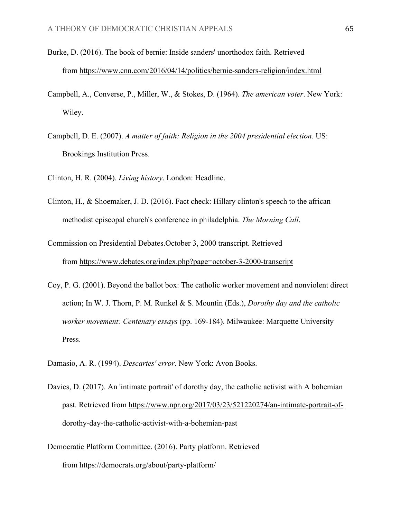- Burke, D. (2016). The book of bernie: Inside sanders' unorthodox faith. Retrieved from https://www.cnn.com/2016/04/14/politics/bernie-sanders-religion/index.html
- Campbell, A., Converse, P., Miller, W., & Stokes, D. (1964). *The american voter*. New York: Wiley.
- Campbell, D. E. (2007). *A matter of faith: Religion in the 2004 presidential election*. US: Brookings Institution Press.
- Clinton, H. R. (2004). *Living history*. London: Headline.
- Clinton, H., & Shoemaker, J. D. (2016). Fact check: Hillary clinton's speech to the african methodist episcopal church's conference in philadelphia. *The Morning Call*.
- Commission on Presidential Debates.October 3, 2000 transcript. Retrieved from https://www.debates.org/index.php?page=october-3-2000-transcript
- Coy, P. G. (2001). Beyond the ballot box: The catholic worker movement and nonviolent direct action; In W. J. Thorn, P. M. Runkel & S. Mountin (Eds.), *Dorothy day and the catholic worker movement: Centenary essays* (pp. 169-184). Milwaukee: Marquette University Press.
- Damasio, A. R. (1994). *Descartes' error*. New York: Avon Books.
- Davies, D. (2017). An 'intimate portrait' of dorothy day, the catholic activist with A bohemian past. Retrieved from https://www.npr.org/2017/03/23/521220274/an-intimate-portrait-ofdorothy-day-the-catholic-activist-with-a-bohemian-past
- Democratic Platform Committee. (2016). Party platform. Retrieved from https://democrats.org/about/party-platform/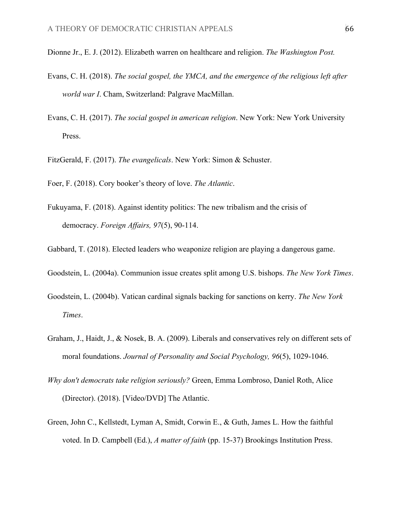- Dionne Jr., E. J. (2012). Elizabeth warren on healthcare and religion. *The Washington Post.*
- Evans, C. H. (2018). *The social gospel, the YMCA, and the emergence of the religious left after world war I*. Cham, Switzerland: Palgrave MacMillan.
- Evans, C. H. (2017). *The social gospel in american religion*. New York: New York University Press.
- FitzGerald, F. (2017). *The evangelicals*. New York: Simon & Schuster.
- Foer, F. (2018). Cory booker's theory of love. *The Atlantic*.
- Fukuyama, F. (2018). Against identity politics: The new tribalism and the crisis of democracy. *Foreign Affairs, 97*(5), 90-114.
- Gabbard, T. (2018). Elected leaders who weaponize religion are playing a dangerous game.
- Goodstein, L. (2004a). Communion issue creates split among U.S. bishops. *The New York Times*.
- Goodstein, L. (2004b). Vatican cardinal signals backing for sanctions on kerry. *The New York Times*.
- Graham, J., Haidt, J., & Nosek, B. A. (2009). Liberals and conservatives rely on different sets of moral foundations. *Journal of Personality and Social Psychology, 96*(5), 1029-1046.
- *Why don't democrats take religion seriously?* Green, Emma Lombroso, Daniel Roth, Alice (Director). (2018). [Video/DVD] The Atlantic.
- Green, John C., Kellstedt, Lyman A, Smidt, Corwin E., & Guth, James L. How the faithful voted. In D. Campbell (Ed.), *A matter of faith* (pp. 15-37) Brookings Institution Press.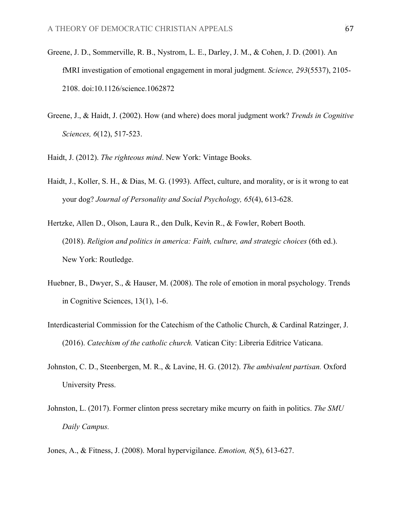- Greene, J. D., Sommerville, R. B., Nystrom, L. E., Darley, J. M., & Cohen, J. D. (2001). An fMRI investigation of emotional engagement in moral judgment. *Science, 293*(5537), 2105- 2108. doi:10.1126/science.1062872
- Greene, J., & Haidt, J. (2002). How (and where) does moral judgment work? *Trends in Cognitive Sciences, 6*(12), 517-523.
- Haidt, J. (2012). *The righteous mind*. New York: Vintage Books.
- Haidt, J., Koller, S. H., & Dias, M. G. (1993). Affect, culture, and morality, or is it wrong to eat your dog? *Journal of Personality and Social Psychology, 65*(4), 613-628.
- Hertzke, Allen D., Olson, Laura R., den Dulk, Kevin R., & Fowler, Robert Booth. (2018). *Religion and politics in america: Faith, culture, and strategic choices* (6th ed.). New York: Routledge.
- Huebner, B., Dwyer, S., & Hauser, M. (2008). The role of emotion in moral psychology. Trends in Cognitive Sciences, 13(1), 1-6.
- Interdicasterial Commission for the Catechism of the Catholic Church, & Cardinal Ratzinger, J. (2016). *Catechism of the catholic church.* Vatican City: Libreria Editrice Vaticana.
- Johnston, C. D., Steenbergen, M. R., & Lavine, H. G. (2012). *The ambivalent partisan.* Oxford University Press.
- Johnston, L. (2017). Former clinton press secretary mike mcurry on faith in politics. *The SMU Daily Campus.*
- Jones, A., & Fitness, J. (2008). Moral hypervigilance. *Emotion, 8*(5), 613-627.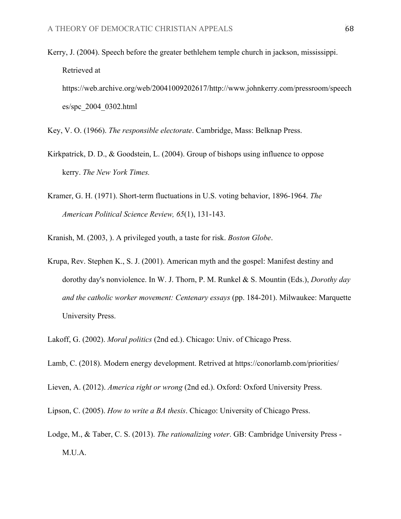- Kerry, J. (2004). Speech before the greater bethlehem temple church in jackson, mississippi. Retrieved at https://web.archive.org/web/20041009202617/http://www.johnkerry.com/pressroom/speech es/spc\_2004\_0302.html
- Key, V. O. (1966). *The responsible electorate*. Cambridge, Mass: Belknap Press.
- Kirkpatrick, D. D., & Goodstein, L. (2004). Group of bishops using influence to oppose kerry. *The New York Times.*
- Kramer, G. H. (1971). Short-term fluctuations in U.S. voting behavior, 1896-1964. *The American Political Science Review, 65*(1), 131-143.
- Kranish, M. (2003, ). A privileged youth, a taste for risk. *Boston Globe*.
- Krupa, Rev. Stephen K., S. J. (2001). American myth and the gospel: Manifest destiny and dorothy day's nonviolence. In W. J. Thorn, P. M. Runkel & S. Mountin (Eds.), *Dorothy day and the catholic worker movement: Centenary essays* (pp. 184-201). Milwaukee: Marquette University Press.
- Lakoff, G. (2002). *Moral politics* (2nd ed.). Chicago: Univ. of Chicago Press.
- Lamb, C. (2018). Modern energy development. Retrived at https://conorlamb.com/priorities/
- Lieven, A. (2012). *America right or wrong* (2nd ed.). Oxford: Oxford University Press.
- Lipson, C. (2005). *How to write a BA thesis*. Chicago: University of Chicago Press.
- Lodge, M., & Taber, C. S. (2013). *The rationalizing voter*. GB: Cambridge University Press M.U.A.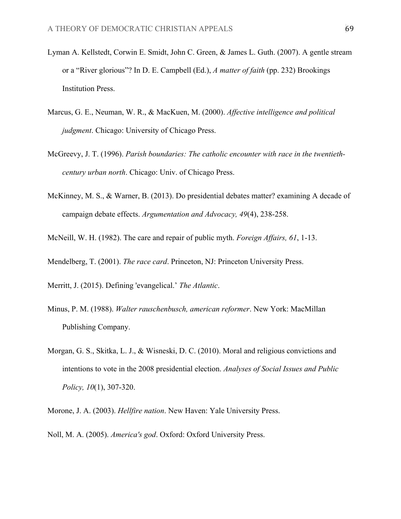- Lyman A. Kellstedt, Corwin E. Smidt, John C. Green, & James L. Guth. (2007). A gentle stream or a "River glorious"? In D. E. Campbell (Ed.), *A matter of faith* (pp. 232) Brookings Institution Press.
- Marcus, G. E., Neuman, W. R., & MacKuen, M. (2000). *Affective intelligence and political judgment*. Chicago: University of Chicago Press.
- McGreevy, J. T. (1996). *Parish boundaries: The catholic encounter with race in the twentiethcentury urban north*. Chicago: Univ. of Chicago Press.
- McKinney, M. S., & Warner, B. (2013). Do presidential debates matter? examining A decade of campaign debate effects. *Argumentation and Advocacy, 49*(4), 238-258.
- McNeill, W. H. (1982). The care and repair of public myth. *Foreign Affairs, 61*, 1-13.

Mendelberg, T. (2001). *The race card*. Princeton, NJ: Princeton University Press.

- Merritt, J. (2015). Defining 'evangelical.' *The Atlantic*.
- Minus, P. M. (1988). *Walter rauschenbusch, american reformer*. New York: MacMillan Publishing Company.
- Morgan, G. S., Skitka, L. J., & Wisneski, D. C. (2010). Moral and religious convictions and intentions to vote in the 2008 presidential election. *Analyses of Social Issues and Public Policy, 10*(1), 307-320.
- Morone, J. A. (2003). *Hellfire nation*. New Haven: Yale University Press.
- Noll, M. A. (2005). *America's god*. Oxford: Oxford University Press.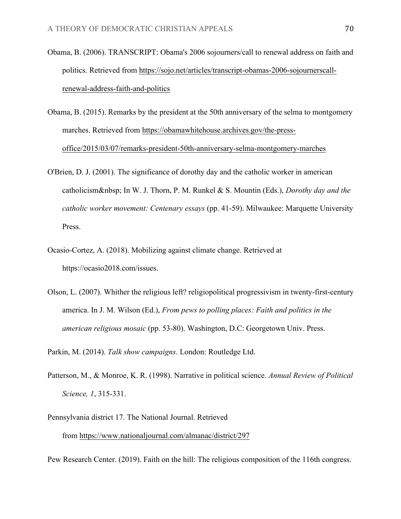- Obama, B. (2006). TRANSCRIPT: Obama's 2006 sojourners/call to renewal address on faith and politics. Retrieved from https://sojo.net/articles/transcript-obamas-2006-sojournerscallrenewal-address-faith-and-politics
- Obama, B. (2015). Remarks by the president at the 50th anniversary of the selma to montgomery marches. Retrieved from https://obamawhitehouse.archives.gov/the-pressoffice/2015/03/07/remarks-president-50th-anniversary-selma-montgomery-marches
- O'Brien, D. J. (2001). The significance of dorothy day and the catholic worker in american catholicism In W. J. Thorn, P. M. Runkel & S. Mountin (Eds.), *Dorothy day and the catholic worker movement: Centenary essays* (pp. 41-59). Milwaukee: Marquette University Press.
- Ocasio-Cortez, A. (2018). Mobilizing against climate change. Retrieved at https://ocasio2018.com/issues.
- Olson, L. (2007). Whither the religious left? religiopolitical progressivism in twenty-first-century america. In J. M. Wilson (Ed.), *From pews to polling places: Faith and politics in the american religious mosaic* (pp. 53-80). Washington, D.C: Georgetown Univ. Press.

Parkin, M. (2014). *Talk show campaigns*. London: Routledge Ltd.

- Patterson, M., & Monroe, K. R. (1998). Narrative in political science. *Annual Review of Political Science, 1*, 315-331.
- Pennsylvania district 17. The National Journal. Retrieved from https://www.nationaljournal.com/almanac/district/297

Pew Research Center. (2019). Faith on the hill: The religious composition of the 116th congress.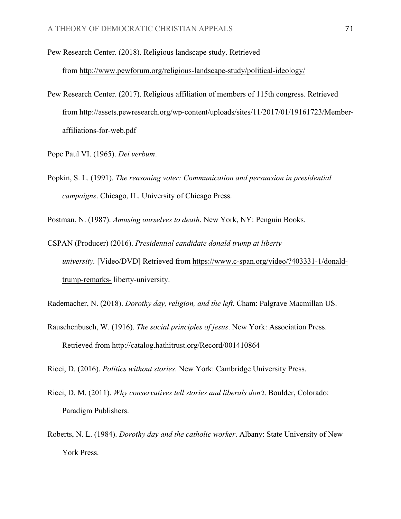Pew Research Center. (2018). Religious landscape study. Retrieved

from http://www.pewforum.org/religious-landscape-study/political-ideology/

- Pew Research Center. (2017). Religious affiliation of members of 115th congress*.* Retrieved from http://assets.pewresearch.org/wp-content/uploads/sites/11/2017/01/19161723/Memberaffiliations-for-web.pdf
- Pope Paul VI. (1965). *Dei verbum*.
- Popkin, S. L. (1991). *The reasoning voter: Communication and persuasion in presidential campaigns*. Chicago, IL. University of Chicago Press.

Postman, N. (1987). *Amusing ourselves to death*. New York, NY: Penguin Books.

CSPAN (Producer) (2016). *Presidential candidate donald trump at liberty university.* [Video/DVD] Retrieved from https://www.c-span.org/video/?403331-1/donaldtrump-remarks- liberty-university.

Rademacher, N. (2018). *Dorothy day, religion, and the left*. Cham: Palgrave Macmillan US.

Rauschenbusch, W. (1916). *The social principles of jesus*. New York: Association Press. Retrieved from http://catalog.hathitrust.org/Record/001410864

Ricci, D. (2016). *Politics without stories*. New York: Cambridge University Press.

- Ricci, D. M. (2011). *Why conservatives tell stories and liberals don't*. Boulder, Colorado: Paradigm Publishers.
- Roberts, N. L. (1984). *Dorothy day and the catholic worker*. Albany: State University of New York Press.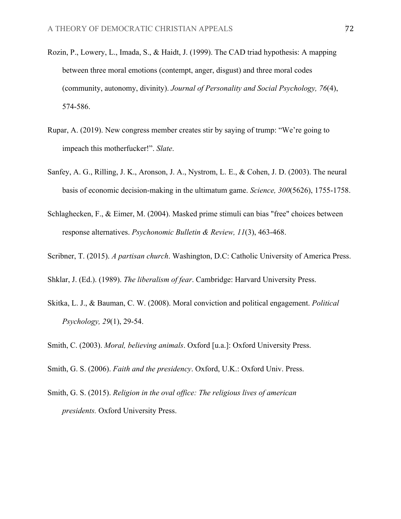- Rozin, P., Lowery, L., Imada, S., & Haidt, J. (1999). The CAD triad hypothesis: A mapping between three moral emotions (contempt, anger, disgust) and three moral codes (community, autonomy, divinity). *Journal of Personality and Social Psychology, 76*(4), 574-586.
- Rupar, A. (2019). New congress member creates stir by saying of trump: "We're going to impeach this motherfucker!". *Slate*.
- Sanfey, A. G., Rilling, J. K., Aronson, J. A., Nystrom, L. E., & Cohen, J. D. (2003). The neural basis of economic decision-making in the ultimatum game. *Science, 300*(5626), 1755-1758.
- Schlaghecken, F., & Eimer, M. (2004). Masked prime stimuli can bias "free" choices between response alternatives. *Psychonomic Bulletin & Review, 11*(3), 463-468.
- Scribner, T. (2015). *A partisan church*. Washington, D.C: Catholic University of America Press.
- Shklar, J. (Ed.). (1989). *The liberalism of fear*. Cambridge: Harvard University Press.
- Skitka, L. J., & Bauman, C. W. (2008). Moral conviction and political engagement. *Political Psychology, 29*(1), 29-54.
- Smith, C. (2003). *Moral, believing animals*. Oxford [u.a.]: Oxford University Press.
- Smith, G. S. (2006). *Faith and the presidency*. Oxford, U.K.: Oxford Univ. Press.
- Smith, G. S. (2015). *Religion in the oval office: The religious lives of american presidents.* Oxford University Press.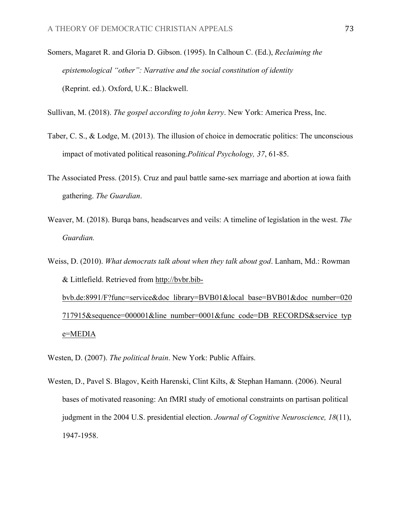Somers, Magaret R. and Gloria D. Gibson. (1995). In Calhoun C. (Ed.), *Reclaiming the epistemological "other": Narrative and the social constitution of identity* (Reprint. ed.). Oxford, U.K.: Blackwell.

Sullivan, M. (2018). *The gospel according to john kerry*. New York: America Press, Inc.

- Taber, C. S., & Lodge, M. (2013). The illusion of choice in democratic politics: The unconscious impact of motivated political reasoning.*Political Psychology, 37*, 61-85.
- The Associated Press. (2015). Cruz and paul battle same-sex marriage and abortion at iowa faith gathering. *The Guardian*.
- Weaver, M. (2018). Burqa bans, headscarves and veils: A timeline of legislation in the west. *The Guardian.*
- Weiss, D. (2010). *What democrats talk about when they talk about god*. Lanham, Md.: Rowman & Littlefield. Retrieved from http://bvbr.bibbvb.de:8991/F?func=service&doc\_library=BVB01&local\_base=BVB01&doc\_number=020 717915&sequence=000001&line\_number=0001&func\_code=DB\_RECORDS&service\_typ e=MEDIA

Westen, D. (2007). *The political brain*. New York: Public Affairs.

Westen, D., Pavel S. Blagov, Keith Harenski, Clint Kilts, & Stephan Hamann. (2006). Neural bases of motivated reasoning: An fMRI study of emotional constraints on partisan political judgment in the 2004 U.S. presidential election. *Journal of Cognitive Neuroscience, 18*(11), 1947-1958.